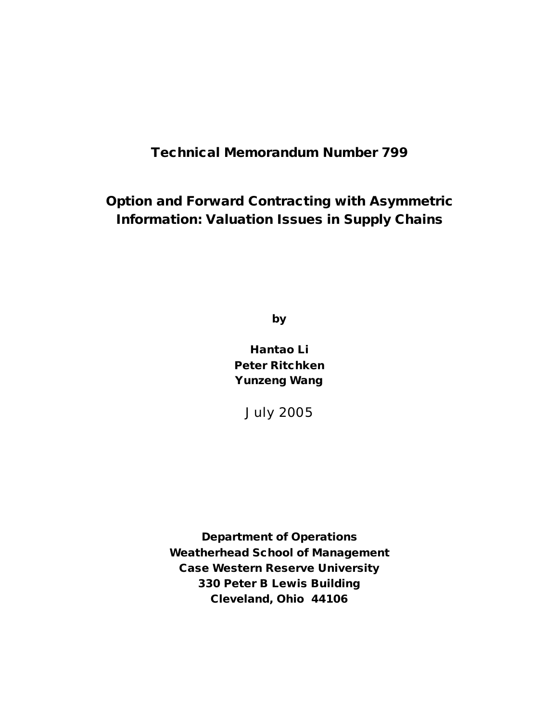**Technical Memorandum Number 799**

**Option and Forward Contracting with Asymmetric Information: Valuation Issues in Supply Chains**

**by**

**Hantao Li Peter Ritchken Yunzeng Wang**

July 2005

**Department of Operations Weatherhead School of Management Case Western Reserve University 330 Peter B Lewis Building Cleveland, Ohio 44106**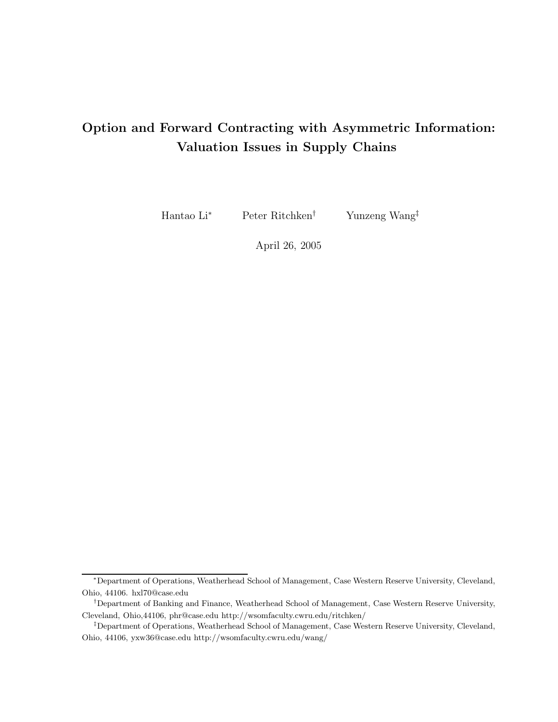# **Option and Forward Contracting with Asymmetric Information: Valuation Issues in Supply Chains**

Hantao Li<sup>∗</sup> Peter Ritchken† Yunzeng Wang‡

April 26, 2005

<sup>∗</sup>Department of Operations, Weatherhead School of Management, Case Western Reserve University, Cleveland, Ohio, 44106. hxl70@case.edu

<sup>†</sup>Department of Banking and Finance, Weatherhead School of Management, Case Western Reserve University, Cleveland, Ohio,44106, phr@case.edu http://wsomfaculty.cwru.edu/ritchken/

<sup>‡</sup>Department of Operations, Weatherhead School of Management, Case Western Reserve University, Cleveland, Ohio, 44106, yxw36@case.edu http://wsomfaculty.cwru.edu/wang/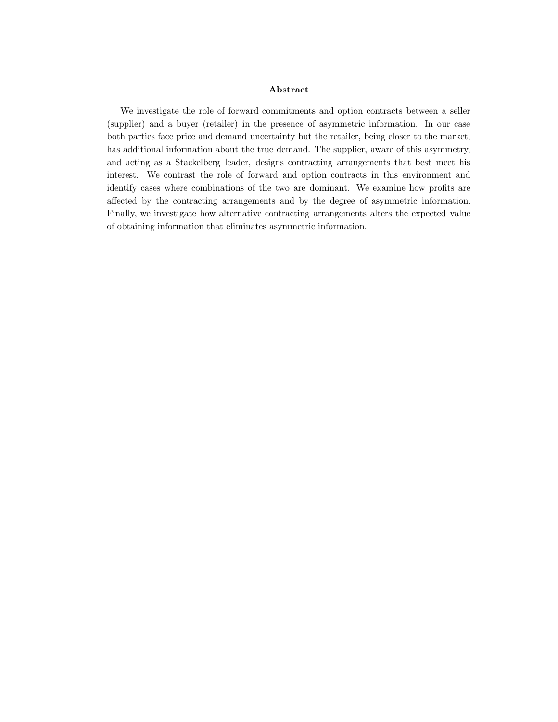#### **Abstract**

We investigate the role of forward commitments and option contracts between a seller (supplier) and a buyer (retailer) in the presence of asymmetric information. In our case both parties face price and demand uncertainty but the retailer, being closer to the market, has additional information about the true demand. The supplier, aware of this asymmetry, and acting as a Stackelberg leader, designs contracting arrangements that best meet his interest. We contrast the role of forward and option contracts in this environment and identify cases where combinations of the two are dominant. We examine how profits are affected by the contracting arrangements and by the degree of asymmetric information. Finally, we investigate how alternative contracting arrangements alters the expected value of obtaining information that eliminates asymmetric information.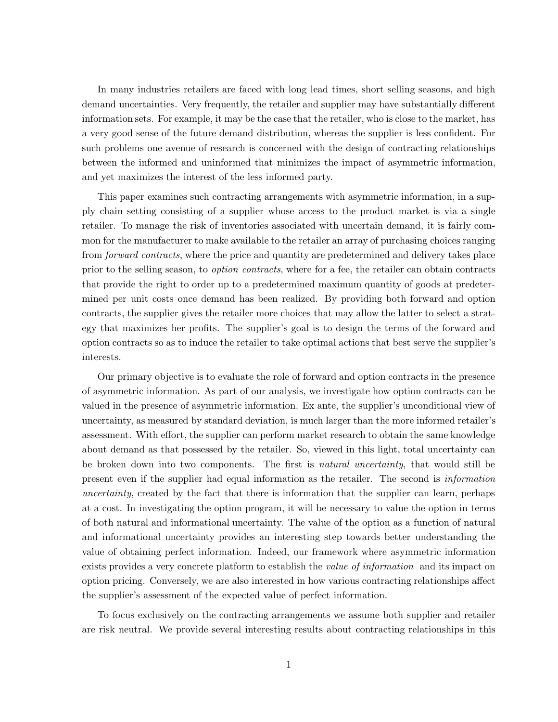In many industries retailers are faced with long lead times, short selling seasons, and high demand uncertainties. Very frequently, the retailer and supplier may have substantially different information sets. For example, it may be the case that the retailer, who is close to the market, has a very good sense of the future demand distribution, whereas the supplier is less confident. For such problems one avenue of research is concerned with the design of contracting relationships between the informed and uninformed that minimizes the impact of asymmetric information, and yet maximizes the interest of the less informed party.

This paper examines such contracting arrangements with asymmetric information, in a supply chain setting consisting of a supplier whose access to the product market is via a single retailer. To manage the risk of inventories associated with uncertain demand, it is fairly common for the manufacturer to make available to the retailer an array of purchasing choices ranging from *forward contracts*, where the price and quantity are predetermined and delivery takes place prior to the selling season, to *option contracts*, where for a fee, the retailer can obtain contracts that provide the right to order up to a predetermined maximum quantity of goods at predetermined per unit costs once demand has been realized. By providing both forward and option contracts, the supplier gives the retailer more choices that may allow the latter to select a strategy that maximizes her profits. The supplier's goal is to design the terms of the forward and option contracts so as to induce the retailer to take optimal actions that best serve the supplier's interests.

Our primary objective is to evaluate the role of forward and option contracts in the presence of asymmetric information. As part of our analysis, we investigate how option contracts can be valued in the presence of asymmetric information. Ex ante, the supplier's unconditional view of uncertainty, as measured by standard deviation, is much larger than the more informed retailer's assessment. With effort, the supplier can perform market research to obtain the same knowledge about demand as that possessed by the retailer. So, viewed in this light, total uncertainty can be broken down into two components. The first is *natural uncertainty*, that would still be present even if the supplier had equal information as the retailer. The second is information uncertainty, created by the fact that there is information that the supplier can learn, perhaps at a cost. In investigating the option program, it will be necessary to value the option in terms of both natural and informational uncertainty. The value of the option as a function of natural and informational uncertainty provides an interesting step towards better understanding the value of obtaining perfect information. Indeed, our framework where asymmetric information exists provides a very concrete platform to establish the *value of information* and its impact on option pricing. Conversely, we are also interested in how various contracting relationships affect the supplier's assessment of the expected value of perfect information.

To focus exclusively on the contracting arrangements we assume both supplier and retailer are risk neutral. We provide several interesting results about contracting relationships in this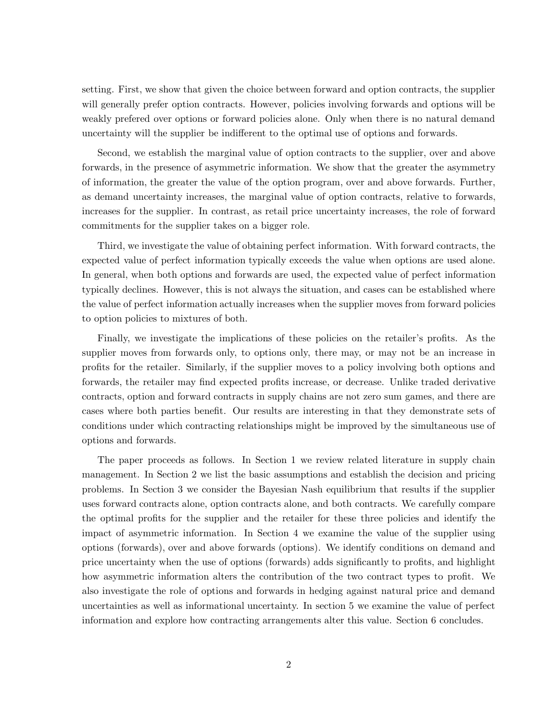setting. First, we show that given the choice between forward and option contracts, the supplier will generally prefer option contracts. However, policies involving forwards and options will be weakly prefered over options or forward policies alone. Only when there is no natural demand uncertainty will the supplier be indifferent to the optimal use of options and forwards.

Second, we establish the marginal value of option contracts to the supplier, over and above forwards, in the presence of asymmetric information. We show that the greater the asymmetry of information, the greater the value of the option program, over and above forwards. Further, as demand uncertainty increases, the marginal value of option contracts, relative to forwards, increases for the supplier. In contrast, as retail price uncertainty increases, the role of forward commitments for the supplier takes on a bigger role.

Third, we investigate the value of obtaining perfect information. With forward contracts, the expected value of perfect information typically exceeds the value when options are used alone. In general, when both options and forwards are used, the expected value of perfect information typically declines. However, this is not always the situation, and cases can be established where the value of perfect information actually increases when the supplier moves from forward policies to option policies to mixtures of both.

Finally, we investigate the implications of these policies on the retailer's profits. As the supplier moves from forwards only, to options only, there may, or may not be an increase in profits for the retailer. Similarly, if the supplier moves to a policy involving both options and forwards, the retailer may find expected profits increase, or decrease. Unlike traded derivative contracts, option and forward contracts in supply chains are not zero sum games, and there are cases where both parties benefit. Our results are interesting in that they demonstrate sets of conditions under which contracting relationships might be improved by the simultaneous use of options and forwards.

The paper proceeds as follows. In Section 1 we review related literature in supply chain management. In Section 2 we list the basic assumptions and establish the decision and pricing problems. In Section 3 we consider the Bayesian Nash equilibrium that results if the supplier uses forward contracts alone, option contracts alone, and both contracts. We carefully compare the optimal profits for the supplier and the retailer for these three policies and identify the impact of asymmetric information. In Section 4 we examine the value of the supplier using options (forwards), over and above forwards (options). We identify conditions on demand and price uncertainty when the use of options (forwards) adds significantly to profits, and highlight how asymmetric information alters the contribution of the two contract types to profit. We also investigate the role of options and forwards in hedging against natural price and demand uncertainties as well as informational uncertainty. In section 5 we examine the value of perfect information and explore how contracting arrangements alter this value. Section 6 concludes.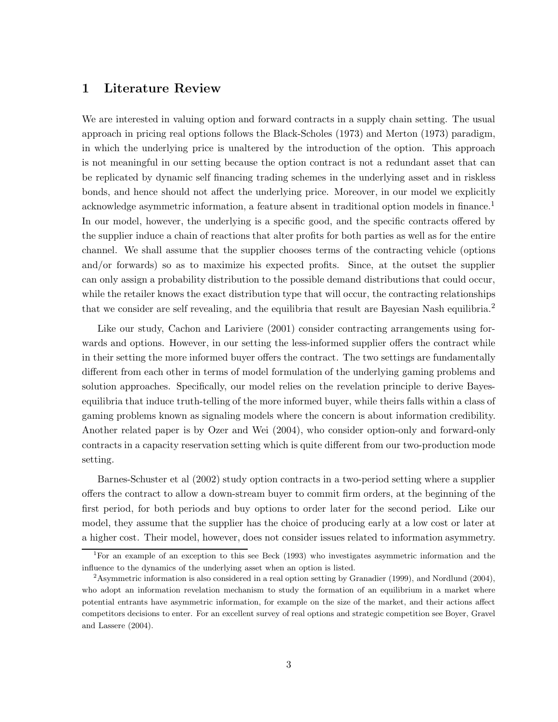# **1 Literature Review**

We are interested in valuing option and forward contracts in a supply chain setting. The usual approach in pricing real options follows the Black-Scholes (1973) and Merton (1973) paradigm, in which the underlying price is unaltered by the introduction of the option. This approach is not meaningful in our setting because the option contract is not a redundant asset that can be replicated by dynamic self financing trading schemes in the underlying asset and in riskless bonds, and hence should not affect the underlying price. Moreover, in our model we explicitly acknowledge asymmetric information, a feature absent in traditional option models in finance.<sup>1</sup> In our model, however, the underlying is a specific good, and the specific contracts offered by the supplier induce a chain of reactions that alter profits for both parties as well as for the entire channel. We shall assume that the supplier chooses terms of the contracting vehicle (options and/or forwards) so as to maximize his expected profits. Since, at the outset the supplier can only assign a probability distribution to the possible demand distributions that could occur, while the retailer knows the exact distribution type that will occur, the contracting relationships that we consider are self revealing, and the equilibria that result are Bayesian Nash equilibria.<sup>2</sup>

Like our study, Cachon and Lariviere  $(2001)$  consider contracting arrangements using forwards and options. However, in our setting the less-informed supplier offers the contract while in their setting the more informed buyer offers the contract. The two settings are fundamentally different from each other in terms of model formulation of the underlying gaming problems and solution approaches. Specifically, our model relies on the revelation principle to derive Bayesequilibria that induce truth-telling of the more informed buyer, while theirs falls within a class of gaming problems known as signaling models where the concern is about information credibility. Another related paper is by Ozer and Wei (2004), who consider option-only and forward-only contracts in a capacity reservation setting which is quite different from our two-production mode setting.

Barnes-Schuster et al (2002) study option contracts in a two-period setting where a supplier offers the contract to allow a down-stream buyer to commit firm orders, at the beginning of the first period, for both periods and buy options to order later for the second period. Like our model, they assume that the supplier has the choice of producing early at a low cost or later at a higher cost. Their model, however, does not consider issues related to information asymmetry.

<sup>1</sup>For an example of an exception to this see Beck (1993) who investigates asymmetric information and the influence to the dynamics of the underlying asset when an option is listed.

<sup>2</sup>Asymmetric information is also considered in a real option setting by Granadier (1999), and Nordlund (2004), who adopt an information revelation mechanism to study the formation of an equilibrium in a market where potential entrants have asymmetric information, for example on the size of the market, and their actions affect competitors decisions to enter. For an excellent survey of real options and strategic competition see Boyer, Gravel and Lassere (2004).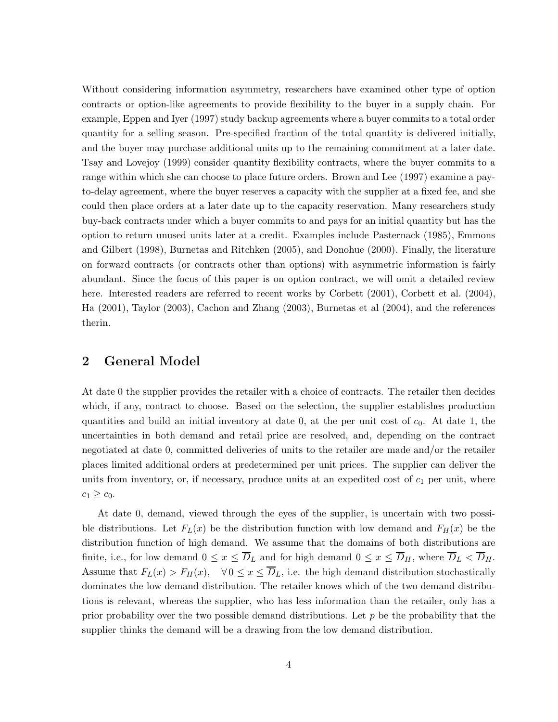Without considering information asymmetry, researchers have examined other type of option contracts or option-like agreements to provide flexibility to the buyer in a supply chain. For example, Eppen and Iyer (1997) study backup agreements where a buyer commits to a total order quantity for a selling season. Pre-specified fraction of the total quantity is delivered initially, and the buyer may purchase additional units up to the remaining commitment at a later date. Tsay and Lovejoy (1999) consider quantity flexibility contracts, where the buyer commits to a range within which she can choose to place future orders. Brown and Lee (1997) examine a payto-delay agreement, where the buyer reserves a capacity with the supplier at a fixed fee, and she could then place orders at a later date up to the capacity reservation. Many researchers study buy-back contracts under which a buyer commits to and pays for an initial quantity but has the option to return unused units later at a credit. Examples include Pasternack (1985), Emmons and Gilbert (1998), Burnetas and Ritchken (2005), and Donohue (2000). Finally, the literature on forward contracts (or contracts other than options) with asymmetric information is fairly abundant. Since the focus of this paper is on option contract, we will omit a detailed review here. Interested readers are referred to recent works by Corbett (2001), Corbett et al. (2004), Ha (2001), Taylor (2003), Cachon and Zhang (2003), Burnetas et al (2004), and the references therin.

# **2 General Model**

At date 0 the supplier provides the retailer with a choice of contracts. The retailer then decides which, if any, contract to choose. Based on the selection, the supplier establishes production quantities and build an initial inventory at date 0, at the per unit cost of *c*0. At date 1, the uncertainties in both demand and retail price are resolved, and, depending on the contract negotiated at date 0, committed deliveries of units to the retailer are made and/or the retailer places limited additional orders at predetermined per unit prices. The supplier can deliver the units from inventory, or, if necessary, produce units at an expedited cost of  $c<sub>1</sub>$  per unit, where  $c_1 \geq c_0$ .

At date 0, demand, viewed through the eyes of the supplier, is uncertain with two possible distributions. Let  $F<sub>L</sub>(x)$  be the distribution function with low demand and  $F<sub>H</sub>(x)$  be the distribution function of high demand. We assume that the domains of both distributions are finite, i.e., for low demand  $0 \le x \le \overline{D}_L$  and for high demand  $0 \le x \le \overline{D}_H$ , where  $\overline{D}_L < \overline{D}_H$ . Assume that  $F_L(x) > F_H(x)$ ,  $\forall 0 \le x \le \overline{D}_L$ , i.e. the high demand distribution stochastically dominates the low demand distribution. The retailer knows which of the two demand distributions is relevant, whereas the supplier, who has less information than the retailer, only has a prior probability over the two possible demand distributions. Let *p* be the probability that the supplier thinks the demand will be a drawing from the low demand distribution.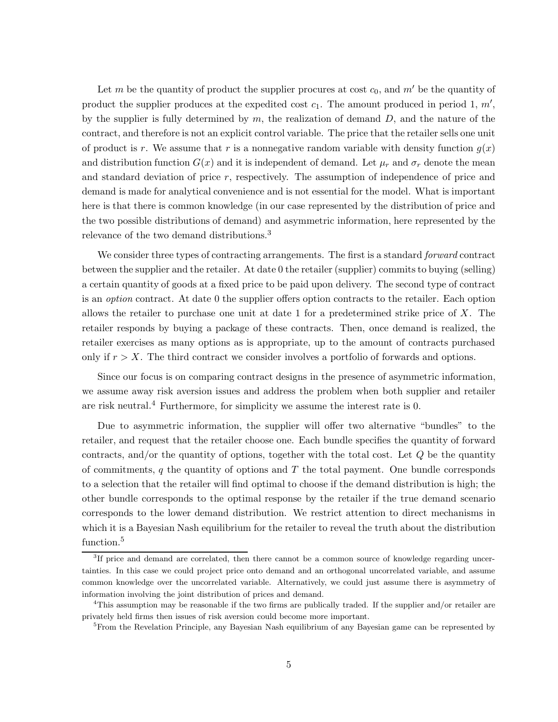Let *m* be the quantity of product the supplier procures at cost  $c_0$ , and  $m'$  be the quantity of product the supplier produces at the expedited cost  $c_1$ . The amount produced in period 1,  $m'$ , by the supplier is fully determined by *m*, the realization of demand *D*, and the nature of the contract, and therefore is not an explicit control variable. The price that the retailer sells one unit of product is r. We assume that r is a nonnegative random variable with density function  $g(x)$ and distribution function  $G(x)$  and it is independent of demand. Let  $\mu_r$  and  $\sigma_r$  denote the mean and standard deviation of price *r*, respectively. The assumption of independence of price and demand is made for analytical convenience and is not essential for the model. What is important here is that there is common knowledge (in our case represented by the distribution of price and the two possible distributions of demand) and asymmetric information, here represented by the relevance of the two demand distributions.<sup>3</sup>

We consider three types of contracting arrangements. The first is a standard *forward* contract between the supplier and the retailer. At date 0 the retailer (supplier) commits to buying (selling) a certain quantity of goods at a fixed price to be paid upon delivery. The second type of contract is an *option* contract. At date 0 the supplier offers option contracts to the retailer. Each option allows the retailer to purchase one unit at date 1 for a predetermined strike price of *X*. The retailer responds by buying a package of these contracts. Then, once demand is realized, the retailer exercises as many options as is appropriate, up to the amount of contracts purchased only if *r>X*. The third contract we consider involves a portfolio of forwards and options.

Since our focus is on comparing contract designs in the presence of asymmetric information, we assume away risk aversion issues and address the problem when both supplier and retailer are risk neutral.<sup>4</sup> Furthermore, for simplicity we assume the interest rate is 0.

Due to asymmetric information, the supplier will offer two alternative "bundles" to the retailer, and request that the retailer choose one. Each bundle specifies the quantity of forward contracts, and/or the quantity of options, together with the total cost. Let *Q* be the quantity of commitments, *q* the quantity of options and *T* the total payment. One bundle corresponds to a selection that the retailer will find optimal to choose if the demand distribution is high; the other bundle corresponds to the optimal response by the retailer if the true demand scenario corresponds to the lower demand distribution. We restrict attention to direct mechanisms in which it is a Bayesian Nash equilibrium for the retailer to reveal the truth about the distribution function.<sup>5</sup>

<sup>&</sup>lt;sup>3</sup>If price and demand are correlated, then there cannot be a common source of knowledge regarding uncertainties. In this case we could project price onto demand and an orthogonal uncorrelated variable, and assume common knowledge over the uncorrelated variable. Alternatively, we could just assume there is asymmetry of information involving the joint distribution of prices and demand.

<sup>&</sup>lt;sup>4</sup>This assumption may be reasonable if the two firms are publically traded. If the supplier and/or retailer are privately held firms then issues of risk aversion could become more important.

<sup>&</sup>lt;sup>5</sup>From the Revelation Principle, any Bayesian Nash equilibrium of any Bayesian game can be represented by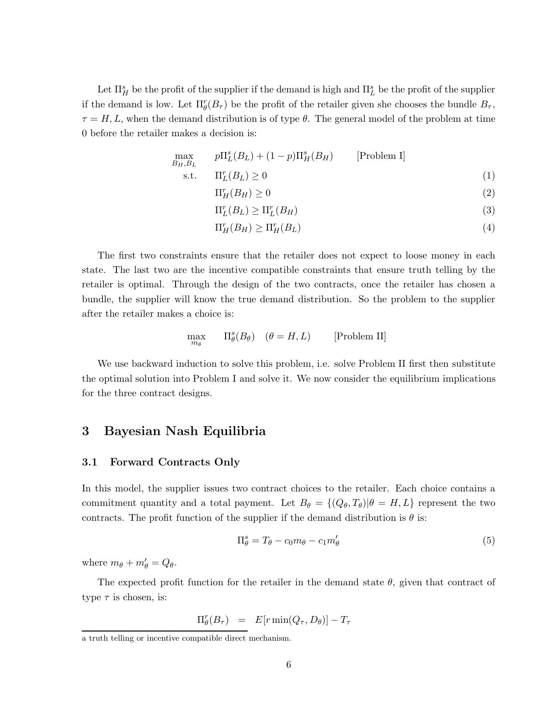Let  $\Pi_H^s$  be the profit of the supplier if the demand is high and  $\Pi_L^s$  be the profit of the supplier if the demand is low. Let  $\Pi_{\theta}^{r}(B_{\tau})$  be the profit of the retailer given she chooses the bundle  $B_{\tau}$ ,  $\tau = H, L$ , when the demand distribution is of type  $\theta$ . The general model of the problem at time 0 before the retailer makes a decision is:

$$
\begin{array}{ll}\n\max_{B_H, B_L} & p \Pi_L^s(B_L) + (1 - p) \Pi_H^s(B_H) \quad \text{[Problem I]} \\
\text{s.t.} & \Pi_L^r(B_L) \ge 0\n\end{array} \tag{1}
$$

$$
\Pi_H^r(B_H) \ge 0 \tag{2}
$$

$$
\Pi_L^r(B_L) \ge \Pi_L^r(B_H) \tag{3}
$$

$$
\Pi_H^r(B_H) \ge \Pi_H^r(B_L) \tag{4}
$$

The first two constraints ensure that the retailer does not expect to loose money in each state. The last two are the incentive compatible constraints that ensure truth telling by the retailer is optimal. Through the design of the two contracts, once the retailer has chosen a bundle, the supplier will know the true demand distribution. So the problem to the supplier after the retailer makes a choice is:

$$
\max_{m_{\theta}} \qquad \Pi_{\theta}^{s}(B_{\theta}) \quad (\theta = H, L) \qquad \text{[Problem II]}
$$

We use backward induction to solve this problem, i.e. solve Problem II first then substitute the optimal solution into Problem I and solve it. We now consider the equilibrium implications for the three contract designs.

# **3 Bayesian Nash Equilibria**

### **3.1 Forward Contracts Only**

In this model, the supplier issues two contract choices to the retailer. Each choice contains a commitment quantity and a total payment. Let  $B_{\theta} = \{(Q_{\theta}, T_{\theta}) | \theta = H, L\}$  represent the two contracts. The profit function of the supplier if the demand distribution is  $\theta$  is:

$$
\Pi_{\theta}^{s} = T_{\theta} - c_0 m_{\theta} - c_1 m_{\theta}' \tag{5}
$$

where  $m_{\theta} + m_{\theta}' = Q_{\theta}$ .

The expected profit function for the retailer in the demand state *θ*, given that contract of type  $\tau$  is chosen, is:

$$
\Pi_{\theta}^{r}(B_{\tau}) = E[r \min(Q_{\tau}, D_{\theta})] - T_{\tau}
$$

a truth telling or incentive compatible direct mechanism.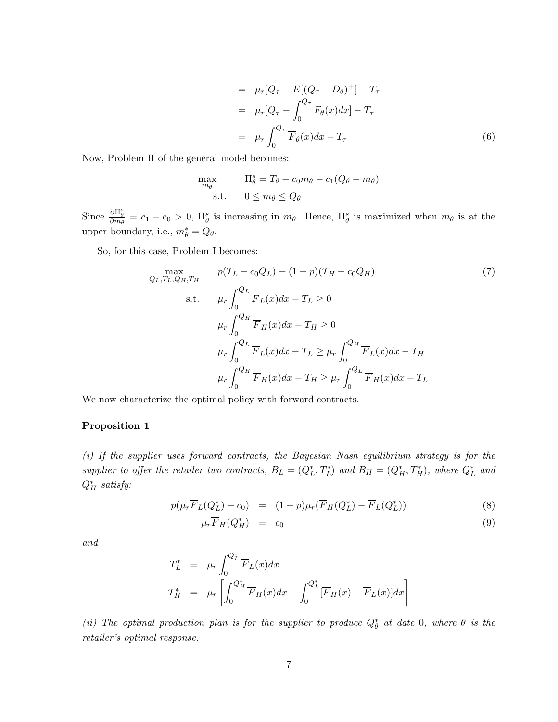$$
= \mu_r [Q_\tau - E[(Q_\tau - D_\theta)^+] - T_\tau
$$
  
\n
$$
= \mu_r [Q_\tau - \int_0^{Q_\tau} F_\theta(x) dx] - T_\tau
$$
  
\n
$$
= \mu_r \int_0^{Q_\tau} \overline{F}_\theta(x) dx - T_\tau
$$
\n(6)

Now, Problem II of the general model becomes:

$$
\max_{m_{\theta}} \qquad \Pi_{\theta}^{s} = T_{\theta} - c_0 m_{\theta} - c_1 (Q_{\theta} - m_{\theta})
$$
  
s.t. 
$$
0 \le m_{\theta} \le Q_{\theta}
$$

Since  $\frac{\partial \Pi_{\theta}^{s}}{\partial m_{\theta}} = c_1 - c_0 > 0$ ,  $\Pi_{\theta}^{s}$  is increasing in  $m_{\theta}$ . Hence,  $\Pi_{\theta}^{s}$  is maximized when  $m_{\theta}$  is at the upper boundary, i.e.,  $m_{\theta}^* = Q_{\theta}$ .

So, for this case, Problem I becomes:

$$
\max_{Q_L, T_L, Q_H, T_H} \qquad p(T_L - c_0 Q_L) + (1 - p)(T_H - c_0 Q_H)
$$
\n
$$
\text{s.t.} \qquad \mu_r \int_0^{Q_L} \overline{F}_L(x) dx - T_L \ge 0
$$
\n
$$
\mu_r \int_0^{Q_H} \overline{F}_H(x) dx - T_H \ge 0
$$
\n
$$
\mu_r \int_0^{Q_L} \overline{F}_L(x) dx - T_L \ge \mu_r \int_0^{Q_H} \overline{F}_L(x) dx - T_H
$$
\n
$$
\mu_r \int_0^{Q_H} \overline{F}_H(x) dx - T_H \ge \mu_r \int_0^{Q_L} \overline{F}_H(x) dx - T_L
$$
\n
$$
(7)
$$

We now characterize the optimal policy with forward contracts.

# **Proposition 1**

(i) If the supplier uses forward contracts, the Bayesian Nash equilibrium strategy is for the supplier to offer the retailer two contracts,  $B_L = (Q_L^*, T_L^*)$  and  $B_H = (Q_H^*, T_H^*)$ , where  $Q_L^*$  and *Q*∗ <sup>H</sup> satisfy:

$$
p(\mu_r \overline{F}_L(Q_L^*) - c_0) = (1 - p)\mu_r(\overline{F}_H(Q_L^*) - \overline{F}_L(Q_L^*))
$$
\n(8)

$$
\mu_r \overline{F}_H(Q_H^*) = c_0 \tag{9}
$$

and

$$
T_L^* = \mu_r \int_0^{Q_L^*} \overline{F}_L(x) dx
$$
  
\n
$$
T_H^* = \mu_r \left[ \int_0^{Q_H^*} \overline{F}_H(x) dx - \int_0^{Q_L^*} [\overline{F}_H(x) - \overline{F}_L(x)] dx \right]
$$

(ii) The optimal production plan is for the supplier to produce  $Q_{\theta}^*$  at date 0, where  $\theta$  is the retailer's optimal response.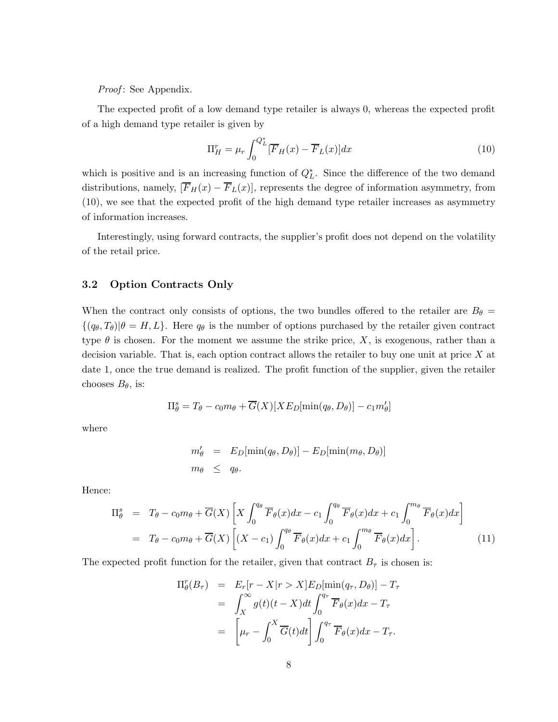#### Proof: See Appendix.

The expected profit of a low demand type retailer is always 0, whereas the expected profit of a high demand type retailer is given by

$$
\Pi_H^r = \mu_r \int_0^{Q_L^*} [\overline{F}_H(x) - \overline{F}_L(x)] dx \tag{10}
$$

which is positive and is an increasing function of  $Q_L^*$ . Since the difference of the two demand distributions, namely,  $\overline{F}_H(x) - \overline{F}_L(x)$ , represents the degree of information asymmetry, from (10), we see that the expected profit of the high demand type retailer increases as asymmetry of information increases.

Interestingly, using forward contracts, the supplier's profit does not depend on the volatility of the retail price.

#### **3.2 Option Contracts Only**

When the contract only consists of options, the two bundles offered to the retailer are  $B_{\theta} =$  ${(q_{\theta}, T_{\theta})|\theta = H, L}$ . Here  $q_{\theta}$  is the number of options purchased by the retailer given contract type  $\theta$  is chosen. For the moment we assume the strike price, X, is exogenous, rather than a decision variable. That is, each option contract allows the retailer to buy one unit at price *X* at date 1, once the true demand is realized. The profit function of the supplier, given the retailer chooses  $B_{\theta}$ , is:

$$
\Pi_{\theta}^{s} = T_{\theta} - c_0 m_{\theta} + \overline{G}(X)[XE_D[\min(q_{\theta}, D_{\theta})] - c_1 m_{\theta}']
$$

where

$$
m'_{\theta} = E_D[\min(q_{\theta}, D_{\theta})] - E_D[\min(m_{\theta}, D_{\theta})]
$$
  

$$
m_{\theta} \leq q_{\theta}.
$$

Hence:

$$
\Pi_{\theta}^{s} = T_{\theta} - c_{0}m_{\theta} + \overline{G}(X) \left[ X \int_{0}^{q_{\theta}} \overline{F}_{\theta}(x) dx - c_{1} \int_{0}^{q_{\theta}} \overline{F}_{\theta}(x) dx + c_{1} \int_{0}^{m_{\theta}} \overline{F}_{\theta}(x) dx \right]
$$

$$
= T_{\theta} - c_{0}m_{\theta} + \overline{G}(X) \left[ (X - c_{1}) \int_{0}^{q_{\theta}} \overline{F}_{\theta}(x) dx + c_{1} \int_{0}^{m_{\theta}} \overline{F}_{\theta}(x) dx \right]. \tag{11}
$$

The expected profit function for the retailer, given that contract  $B_{\tau}$  is chosen is:

$$
\Pi_{\theta}^{r}(B_{\tau}) = E_{r}[r - X|r > X]E_{D}[\min(q_{\tau}, D_{\theta})] - T_{\tau}
$$
  
\n
$$
= \int_{X}^{\infty} g(t)(t - X)dt \int_{0}^{q_{\tau}} \overline{F}_{\theta}(x)dx - T_{\tau}
$$
  
\n
$$
= \left[ \mu_{r} - \int_{0}^{X} \overline{G}(t)dt \right] \int_{0}^{q_{\tau}} \overline{F}_{\theta}(x)dx - T_{\tau}.
$$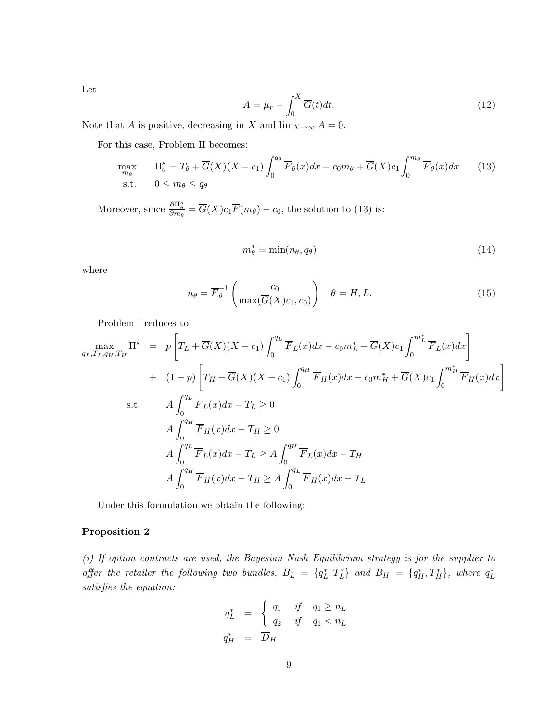Let

$$
A = \mu_r - \int_0^X \overline{G}(t)dt.
$$
\n(12)

Note that *A* is positive, decreasing in *X* and  $\lim_{X\to\infty} A = 0$ .

For this case, Problem II becomes:

$$
\max_{m_{\theta}} \qquad \Pi_{\theta}^{s} = T_{\theta} + \overline{G}(X)(X - c_{1}) \int_{0}^{q_{\theta}} \overline{F}_{\theta}(x) dx - c_{0} m_{\theta} + \overline{G}(X)c_{1} \int_{0}^{m_{\theta}} \overline{F}_{\theta}(x) dx \qquad (13)
$$
  
s.t.  $0 \le m_{\theta} \le q_{\theta}$ 

Moreover, since  $\frac{\partial \Pi_{\theta}^{s}}{\partial m_{\theta}} = \overline{G}(X)c_{1}\overline{F}(m_{\theta}) - c_{0}$ , the solution to (13) is:

$$
m_{\theta}^* = \min(n_{\theta}, q_{\theta}) \tag{14}
$$

where

$$
n_{\theta} = \overline{F}_{\theta}^{-1} \left( \frac{c_0}{\max(\overline{G}(X)c_1, c_0)} \right) \quad \theta = H, L.
$$
 (15)

Problem I reduces to:

$$
\max_{q_L, T_L, q_H, T_H} \Pi^s = p \left[ T_L + \overline{G}(X)(X - c_1) \int_0^{q_L} \overline{F}_L(x) dx - c_0 m_L^* + \overline{G}(X)c_1 \int_0^{m_L^*} \overline{F}_L(x) dx \right]
$$
  
+ 
$$
(1-p) \left[ T_H + \overline{G}(X)(X - c_1) \int_0^{q_H} \overline{F}_H(x) dx - c_0 m_H^* + \overline{G}(X)c_1 \int_0^{m_H^*} \overline{F}_H(x) dx \right]
$$
  
s.t. 
$$
A \int_0^{q_L} \overline{F}_L(x) dx - T_L \ge 0
$$
  

$$
A \int_0^{q_L} \overline{F}_L(x) dx - T_H \ge 0
$$
  

$$
A \int_0^{q_L} \overline{F}_L(x) dx - T_L \ge A \int_0^{q_H} \overline{F}_L(x) dx - T_H
$$
  

$$
A \int_0^{q_H} \overline{F}_H(x) dx - T_H \ge A \int_0^{q_L} \overline{F}_H(x) dx - T_L
$$

Under this formulation we obtain the following:

### **Proposition 2**

(i) If option contracts are used, the Bayesian Nash Equilibrium strategy is for the supplier to offer the retailer the following two bundles,  $B_L = \{q_L^*, T_L^*\}$  and  $B_H = \{q_H^*, T_H^*\}$ , where  $q_L^*$ satisfies the equation:

$$
q_L^* = \begin{cases} q_1 & \text{if } q_1 \ge n_L \\ q_2 & \text{if } q_1 < n_L \end{cases}
$$

$$
q_H^* = \overline{D}_H
$$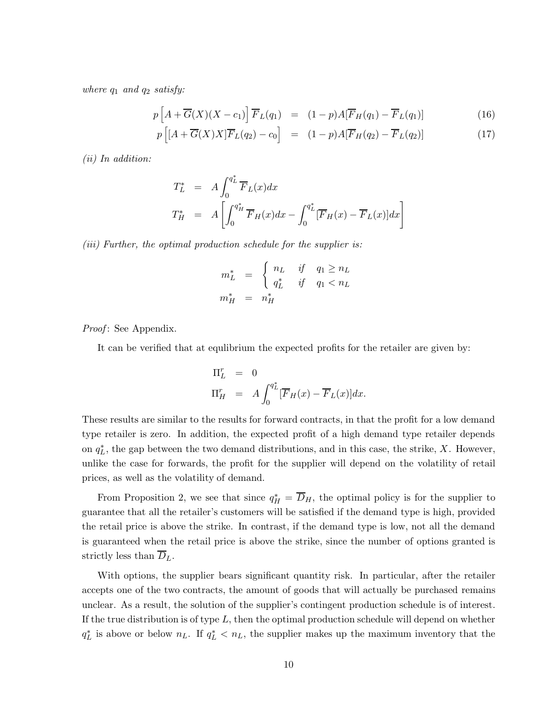where *q*<sup>1</sup> and *q*<sup>2</sup> satisfy:

$$
p\left[A + \overline{G}(X)(X - c_1)\right]\overline{F}_L(q_1) = (1 - p)A[\overline{F}_H(q_1) - \overline{F}_L(q_1)] \tag{16}
$$

$$
p\left[\left[A+\overline{G}(X)X\right]\overline{F}_L(q_2)-c_0\right] = (1-p)A[\overline{F}_H(q_2)-\overline{F}_L(q_2)] \tag{17}
$$

(ii) In addition:

$$
T_L^* = A \int_0^{q_L^*} \overline{F}_L(x) dx
$$
  
\n
$$
T_H^* = A \left[ \int_0^{q_H^*} \overline{F}_H(x) dx - \int_0^{q_L^*} [\overline{F}_H(x) - \overline{F}_L(x)] dx \right]
$$

(iii) Further, the optimal production schedule for the supplier is:

$$
\begin{array}{rcl}\nm_L^* &=& \left\{\begin{array}{ccc}\nn_L & \text{if} & q_1 \geq n_L \\
q_L^* & \text{if} & q_1 < n_L\n\end{array}\right. \\
m_H^* &=& n_H^* \\
\end{array}
$$

*Proof:* See Appendix.

It can be verified that at equlibrium the expected profits for the retailer are given by:

$$
\Pi_L^r = 0
$$
  
\n
$$
\Pi_H^r = A \int_0^{q_L^*} [\overline{F}_H(x) - \overline{F}_L(x)] dx.
$$

These results are similar to the results for forward contracts, in that the profit for a low demand type retailer is zero. In addition, the expected profit of a high demand type retailer depends on *q*<sup>∗</sup> <sup>L</sup>, the gap between the two demand distributions, and in this case, the strike, *X*. However, unlike the case for forwards, the profit for the supplier will depend on the volatility of retail prices, as well as the volatility of demand.

From Proposition 2, we see that since  $q_H^* = \overline{D}_H$ , the optimal policy is for the supplier to guarantee that all the retailer's customers will be satisfied if the demand type is high, provided the retail price is above the strike. In contrast, if the demand type is low, not all the demand is guaranteed when the retail price is above the strike, since the number of options granted is strictly less than  $\overline{D}_L$ .

With options, the supplier bears significant quantity risk. In particular, after the retailer accepts one of the two contracts, the amount of goods that will actually be purchased remains unclear. As a result, the solution of the supplier's contingent production schedule is of interest. If the true distribution is of type *L*, then the optimal production schedule will depend on whether  $q_L^*$  is above or below  $n_L$ . If  $q_L^* < n_L$ , the supplier makes up the maximum inventory that the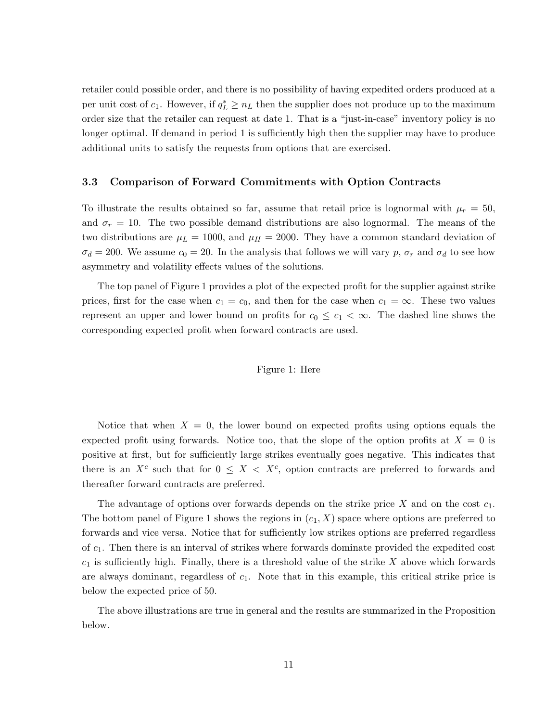retailer could possible order, and there is no possibility of having expedited orders produced at a per unit cost of  $c_1$ . However, if  $q_L^* \geq n_L$  then the supplier does not produce up to the maximum order size that the retailer can request at date 1. That is a "just-in-case" inventory policy is no longer optimal. If demand in period 1 is sufficiently high then the supplier may have to produce additional units to satisfy the requests from options that are exercised.

#### **3.3 Comparison of Forward Commitments with Option Contracts**

To illustrate the results obtained so far, assume that retail price is lognormal with  $\mu_r = 50$ , and  $\sigma_r = 10$ . The two possible demand distributions are also lognormal. The means of the two distributions are  $\mu_L = 1000$ , and  $\mu_H = 2000$ . They have a common standard deviation of  $\sigma_d = 200$ . We assume  $c_0 = 20$ . In the analysis that follows we will vary p,  $\sigma_r$  and  $\sigma_d$  to see how asymmetry and volatility effects values of the solutions.

The top panel of Figure 1 provides a plot of the expected profit for the supplier against strike prices, first for the case when  $c_1 = c_0$ , and then for the case when  $c_1 = \infty$ . These two values represent an upper and lower bound on profits for  $c_0 \leq c_1 < \infty$ . The dashed line shows the corresponding expected profit when forward contracts are used.

#### Figure 1: Here

Notice that when  $X = 0$ , the lower bound on expected profits using options equals the expected profit using forwards. Notice too, that the slope of the option profits at  $X = 0$  is positive at first, but for sufficiently large strikes eventually goes negative. This indicates that there is an  $X^c$  such that for  $0 \leq X \leq X^c$ , option contracts are preferred to forwards and thereafter forward contracts are preferred.

The advantage of options over forwards depends on the strike price *X* and on the cost *c*1. The bottom panel of Figure 1 shows the regions in (*c*1*, X*) space where options are preferred to forwards and vice versa. Notice that for sufficiently low strikes options are preferred regardless of *c*1. Then there is an interval of strikes where forwards dominate provided the expedited cost *c*<sup>1</sup> is sufficiently high. Finally, there is a threshold value of the strike *X* above which forwards are always dominant, regardless of *c*1. Note that in this example, this critical strike price is below the expected price of 50.

The above illustrations are true in general and the results are summarized in the Proposition below.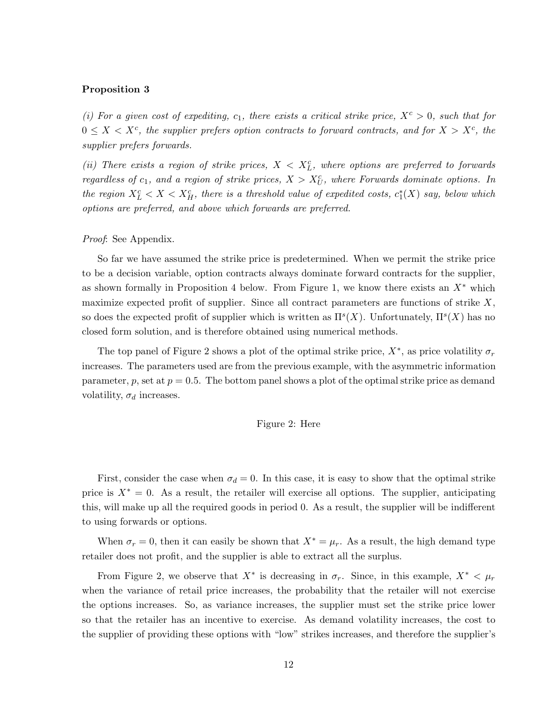#### **Proposition 3**

(i) For a given cost of expediting,  $c_1$ , there exists a critical strike price,  $X^c > 0$ , such that for  $0 \leq X < X^c$ , the supplier prefers option contracts to forward contracts, and for  $X > X^c$ , the supplier prefers forwards.

(ii) There exists a region of strike prices,  $X < X_L^c$ , where options are preferred to forwards regardless of  $c_1$ , and a region of strike prices,  $X > X_C^c$ , where Forwards dominate options. In the region  $X_L^c < X < X_H^c$ , there is a threshold value of expedited costs,  $c_1^*(X)$  say, below which options are preferred, and above which forwards are preferred.

#### Proof: See Appendix.

So far we have assumed the strike price is predetermined. When we permit the strike price to be a decision variable, option contracts always dominate forward contracts for the supplier, as shown formally in Proposition 4 below. From Figure 1, we know there exists an *X*<sup>∗</sup> which maximize expected profit of supplier. Since all contract parameters are functions of strike *X*, so does the expected profit of supplier which is written as  $\Pi^{s}(X)$ . Unfortunately,  $\Pi^{s}(X)$  has no closed form solution, and is therefore obtained using numerical methods.

The top panel of Figure 2 shows a plot of the optimal strike price,  $X^*$ , as price volatility  $\sigma_r$ increases. The parameters used are from the previous example, with the asymmetric information parameter,  $p$ , set at  $p = 0.5$ . The bottom panel shows a plot of the optimal strike price as demand volatility,  $\sigma_d$  increases.

#### Figure 2: Here

First, consider the case when  $\sigma_d = 0$ . In this case, it is easy to show that the optimal strike price is  $X^* = 0$ . As a result, the retailer will exercise all options. The supplier, anticipating this, will make up all the required goods in period 0. As a result, the supplier will be indifferent to using forwards or options.

When  $\sigma_r = 0$ , then it can easily be shown that  $X^* = \mu_r$ . As a result, the high demand type retailer does not profit, and the supplier is able to extract all the surplus.

From Figure 2, we observe that  $X^*$  is decreasing in  $\sigma_r$ . Since, in this example,  $X^* < \mu_r$ when the variance of retail price increases, the probability that the retailer will not exercise the options increases. So, as variance increases, the supplier must set the strike price lower so that the retailer has an incentive to exercise. As demand volatility increases, the cost to the supplier of providing these options with "low" strikes increases, and therefore the supplier's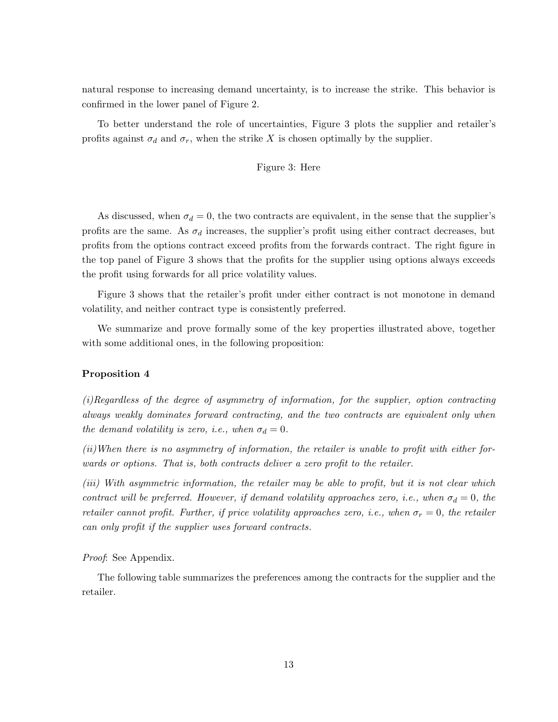natural response to increasing demand uncertainty, is to increase the strike. This behavior is confirmed in the lower panel of Figure 2.

To better understand the role of uncertainties, Figure 3 plots the supplier and retailer's profits against  $\sigma_d$  and  $\sigma_r$ , when the strike X is chosen optimally by the supplier.

### Figure 3: Here

As discussed, when  $\sigma_d = 0$ , the two contracts are equivalent, in the sense that the supplier's profits are the same. As  $\sigma_d$  increases, the supplier's profit using either contract decreases, but profits from the options contract exceed profits from the forwards contract. The right figure in the top panel of Figure 3 shows that the profits for the supplier using options always exceeds the profit using forwards for all price volatility values.

Figure 3 shows that the retailer's profit under either contract is not monotone in demand volatility, and neither contract type is consistently preferred.

We summarize and prove formally some of the key properties illustrated above, together with some additional ones, in the following proposition:

#### **Proposition 4**

(i)Regardless of the degree of asymmetry of information, for the supplier, option contracting always weakly dominates forward contracting, and the two contracts are equivalent only when the demand volatility is zero, i.e., when  $\sigma_d = 0$ .

(ii)When there is no asymmetry of information, the retailer is unable to profit with either forwards or options. That is, both contracts deliver a zero profit to the retailer.

(iii) With asymmetric information, the retailer may be able to profit, but it is not clear which contract will be preferred. However, if demand volatility approaches zero, i.e., when  $\sigma_d = 0$ , the retailer cannot profit. Further, if price volatility approaches zero, i.e., when  $\sigma_r = 0$ , the retailer can only profit if the supplier uses forward contracts.

Proof: See Appendix.

The following table summarizes the preferences among the contracts for the supplier and the retailer.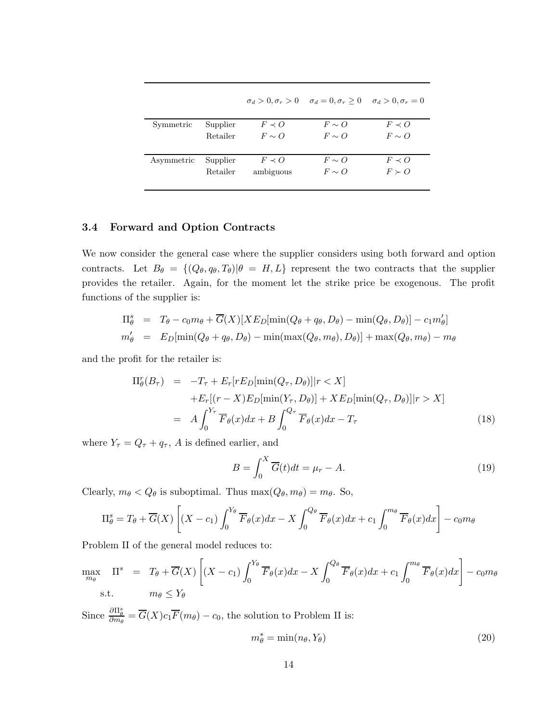|            |          | $\sigma_d > 0, \sigma_r > 0$ | $\sigma_d = 0, \sigma_r > 0 \quad \sigma_d > 0, \sigma_r = 0$ |             |
|------------|----------|------------------------------|---------------------------------------------------------------|-------------|
| Symmetric  | Supplier | $F \prec O$                  | $F \sim O$                                                    | $F \prec O$ |
|            | Retailer | $F \sim O$                   | $F \sim O$                                                    | $F \sim O$  |
| Asymmetric | Supplier | $F \prec O$                  | $F \sim O$                                                    | $F \prec O$ |
|            | Retailer | ambiguous                    | $F \sim O$                                                    | $F \succ O$ |

### **3.4 Forward and Option Contracts**

We now consider the general case where the supplier considers using both forward and option contracts. Let  $B_{\theta} = \{ (Q_{\theta}, q_{\theta}, T_{\theta}) | \theta = H, L \}$  represent the two contracts that the supplier provides the retailer. Again, for the moment let the strike price be exogenous. The profit functions of the supplier is:

$$
\Pi_{\theta}^{s} = T_{\theta} - c_{0}m_{\theta} + \overline{G}(X)[XE_{D}[\min(Q_{\theta} + q_{\theta}, D_{\theta}) - \min(Q_{\theta}, D_{\theta})] - c_{1}m_{\theta}']
$$
  

$$
m_{\theta}' = E_{D}[\min(Q_{\theta} + q_{\theta}, D_{\theta}) - \min(\max(Q_{\theta}, m_{\theta}), D_{\theta})] + \max(Q_{\theta}, m_{\theta}) - m_{\theta}
$$

and the profit for the retailer is:

$$
\Pi_{\theta}^{r}(B_{\tau}) = -T_{\tau} + E_{r}[rE_{D}[\min(Q_{\tau}, D_{\theta})]|r < X] \n+ E_{r}[(r - X)E_{D}[\min(Y_{\tau}, D_{\theta})] + XE_{D}[\min(Q_{\tau}, D_{\theta})]|r > X] \n= A \int_{0}^{Y_{\tau}} \overline{F}_{\theta}(x)dx + B \int_{0}^{Q_{\tau}} \overline{F}_{\theta}(x)dx - T_{\tau}
$$
\n(18)

where  $Y_{\tau} = Q_{\tau} + q_{\tau}$ , *A* is defined earlier, and

$$
B = \int_0^X \overline{G}(t)dt = \mu_r - A.
$$
\n(19)

Clearly,  $m_{\theta} < Q_{\theta}$  is suboptimal. Thus  $\max(Q_{\theta}, m_{\theta}) = m_{\theta}$ . So,

$$
\Pi_{\theta}^{s} = T_{\theta} + \overline{G}(X) \left[ (X - c_{1}) \int_{0}^{Y_{\theta}} \overline{F}_{\theta}(x) dx - X \int_{0}^{Q_{\theta}} \overline{F}_{\theta}(x) dx + c_{1} \int_{0}^{m_{\theta}} \overline{F}_{\theta}(x) dx \right] - c_{0} m_{\theta}
$$

Problem II of the general model reduces to:

$$
\max_{m_{\theta}} \quad \Pi^{s} = T_{\theta} + \overline{G}(X) \left[ (X - c_{1}) \int_{0}^{Y_{\theta}} \overline{F}_{\theta}(x) dx - X \int_{0}^{Q_{\theta}} \overline{F}_{\theta}(x) dx + c_{1} \int_{0}^{m_{\theta}} \overline{F}_{\theta}(x) dx \right] - c_{0} m_{\theta}
$$
\n
$$
\text{s.t.} \quad m_{\theta} \leq Y_{\theta}
$$

Since  $\frac{\partial \Pi_{\theta}^{s}}{\partial m_{\theta}} = \overline{G}(X)c_{1}\overline{F}(m_{\theta}) - c_{0}$ , the solution to Problem II is:

$$
m_{\theta}^* = \min(n_{\theta}, Y_{\theta})
$$
\n(20)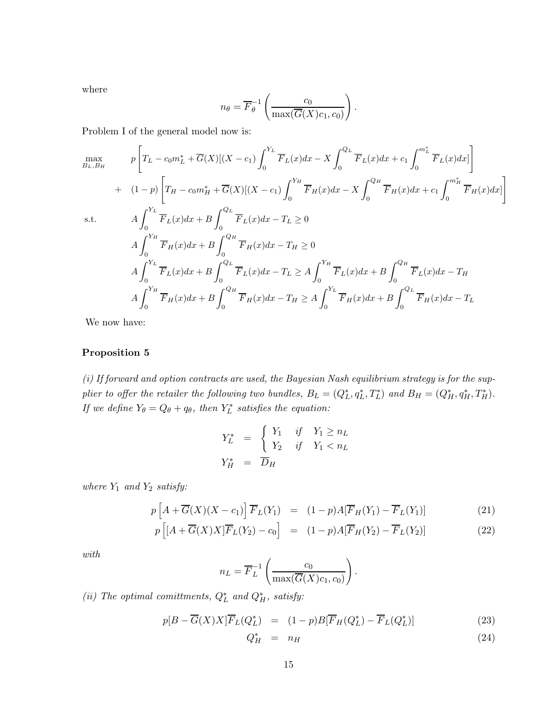where

$$
n_{\theta} = \overline{F}_{\theta}^{-1} \left( \frac{c_0}{\max(\overline{G}(X)c_1, c_0)} \right).
$$

Problem I of the general model now is:

$$
\begin{aligned}\n\max_{B_L, B_H} & p \left[ T_L - c_0 m_L^* + \overline{G}(X) [(X - c_1) \int_0^{Y_L} \overline{F}_L(x) dx - X \int_0^{Q_L} \overline{F}_L(x) dx + c_1 \int_0^{m_L^*} \overline{F}_L(x) dx \right] \\
&+ (1 - p) \left[ T_H - c_0 m_H^* + \overline{G}(X) [(X - c_1) \int_0^{Y_H} \overline{F}_H(x) dx - X \int_0^{Q_H} \overline{F}_H(x) dx + c_1 \int_0^{m_H^*} \overline{F}_H(x) dx \right] \\
\text{s.t.} & A \int_0^{Y_L} \overline{F}_L(x) dx + B \int_0^{Q_L} \overline{F}_L(x) dx - T_L \ge 0 \\
&A \int_0^{Y_H} \overline{F}_H(x) dx + B \int_0^{Q_H} \overline{F}_H(x) dx - T_H \ge 0 \\
&A \int_0^{Y_L} \overline{F}_L(x) dx + B \int_0^{Q_L} \overline{F}_L(x) dx - T_L \ge A \int_0^{Y_H} \overline{F}_L(x) dx + B \int_0^{Q_H} \overline{F}_L(x) dx - T_H \\
&A \int_0^{Y_H} \overline{F}_H(x) dx + B \int_0^{Q_H} \overline{F}_H(x) dx - T_H \ge A \int_0^{Y_L} \overline{F}_H(x) dx + B \int_0^{Q_L} \overline{F}_H(x) dx - T_L\n\end{aligned}
$$

We now have:

# **Proposition 5**

 $\label{eq:1} (i)~\emph{If forward and option contracts are used, the Bayesian Nash equilibrium strategy is for the sup-}$ plier to offer the retailer the following two bundles,  $B_L = (Q_L^*, q_L^*, T_L^*)$  and  $B_H = (Q_H^*, q_H^*, T_H^*)$ . If we define  $Y_{\theta} = Q_{\theta} + q_{\theta}$ , then  $Y_L^*$  satisfies the equation:

$$
Y_L^* = \begin{cases} Y_1 & \text{if} \quad Y_1 \ge n_L \\ Y_2 & \text{if} \quad Y_1 < n_L \end{cases}
$$

$$
Y_H^* = \overline{D}_H
$$

where  $Y_1$  and  $Y_2$  satisfy:

$$
p\left[A + \overline{G}(X)(X - c_1)\right]\overline{F}_L(Y_1) = (1 - p)A[\overline{F}_H(Y_1) - \overline{F}_L(Y_1)] \tag{21}
$$

$$
p\left[\left[A+\overline{G}(X)X\right]\overline{F}_L(Y_2)-c_0\right] = (1-p)A[\overline{F}_H(Y_2)-\overline{F}_L(Y_2)] \tag{22}
$$

with

$$
n_L = \overline{F}_L^{-1}\left(\frac{c_0}{\max(\overline{G}(X)c_1, c_0)}\right).
$$

(ii) The optimal comittments,  $Q_L^*$  and  $Q_H^*$ , satisfy:

$$
p[B - \overline{G}(X)X]\overline{F}_L(Q_L^*) = (1 - p)B[\overline{F}_H(Q_L^*) - \overline{F}_L(Q_L^*)]
$$
\n(23)

$$
Q_H^* = n_H \tag{24}
$$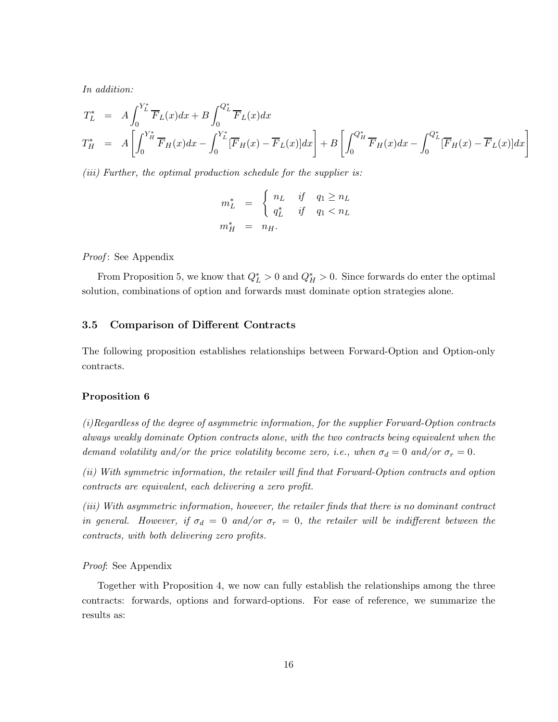In addition:

$$
T_L^* = A \int_0^{Y_L^*} \overline{F}_L(x) dx + B \int_0^{Q_L^*} \overline{F}_L(x) dx
$$
  
\n
$$
T_H^* = A \left[ \int_0^{Y_H^*} \overline{F}_H(x) dx - \int_0^{Y_L^*} [\overline{F}_H(x) - \overline{F}_L(x)] dx \right] + B \left[ \int_0^{Q_H^*} \overline{F}_H(x) dx - \int_0^{Q_L^*} [\overline{F}_H(x) - \overline{F}_L(x)] dx \right]
$$

(iii) Further, the optimal production schedule for the supplier is:

$$
\begin{array}{rcl}\nm_L^* &=& \left\{\begin{array}{ccc}\nn_L & if & q_1 \geq n_L \\
q_L^* & if & q_1 < n_L\n\end{array}\right. \\
m_H^* &=& n_H.\n\end{array}
$$

Proof: See Appendix

From Proposition 5, we know that  $Q_L^* > 0$  and  $Q_H^* > 0$ . Since forwards do enter the optimal solution, combinations of option and forwards must dominate option strategies alone.

# **3.5 Comparison of Different Contracts**

The following proposition establishes relationships between Forward-Option and Option-only contracts.

#### **Proposition 6**

(i)Regardless of the degree of asymmetric information, for the supplier Forward-Option contracts always weakly dominate Option contracts alone, with the two contracts being equivalent when the demand volatility and/or the price volatility become zero, i.e., when  $\sigma_d = 0$  and/or  $\sigma_r = 0$ .

(ii) With symmetric information, the retailer will find that Forward-Option contracts and option contracts are equivalent, each delivering a zero profit.

(iii) With asymmetric information, however, the retailer finds that there is no dominant contract in general. However, if  $\sigma_d = 0$  and/or  $\sigma_r = 0$ , the retailer will be indifferent between the contracts, with both delivering zero profits.

#### Proof: See Appendix

Together with Proposition 4, we now can fully establish the relationships among the three contracts: forwards, options and forward-options. For ease of reference, we summarize the results as: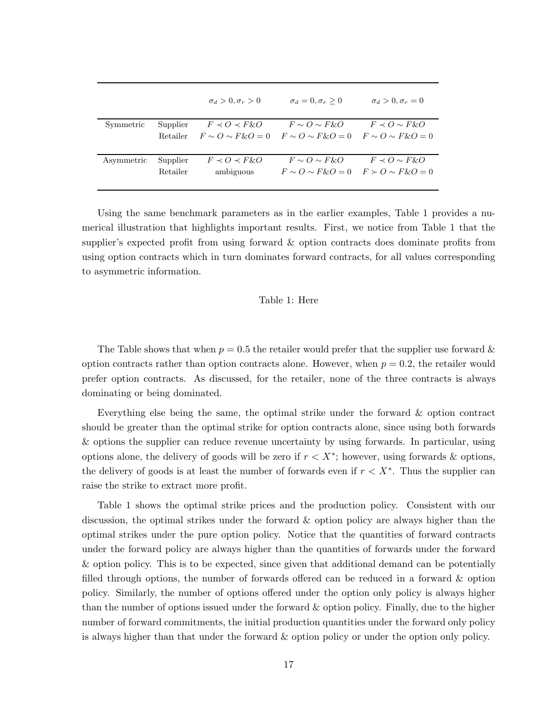|            |          | $\sigma_d > 0, \sigma_r > 0$ | $\sigma_d=0, \sigma_r\geq 0$ | $\sigma_d > 0, \sigma_r = 0$ |
|------------|----------|------------------------------|------------------------------|------------------------------|
| Symmetric  | Supplier | $F \prec O \prec F\&O$       | $F \sim Q \sim F \& Q$       | $F \prec O \sim F \& O$      |
|            | Retailer | $F \sim Q \sim F \& Q = 0$   | $F \sim Q \sim F \& Q = 0$   | $F \sim Q \sim F \& Q = 0$   |
| Asymmetric | Supplier | $F \prec O \prec F\&O$       | $F \sim Q \sim F \& Q$       | $F \prec O \sim F \& O$      |
|            | Retailer | ambiguous                    | $F \sim Q \sim F \& Q = 0$   | $F \succ Q \sim F \& Q = 0$  |

Using the same benchmark parameters as in the earlier examples, Table 1 provides a numerical illustration that highlights important results. First, we notice from Table 1 that the supplier's expected profit from using forward & option contracts does dominate profits from using option contracts which in turn dominates forward contracts, for all values corresponding to asymmetric information.

#### Table 1: Here

The Table shows that when  $p = 0.5$  the retailer would prefer that the supplier use forward & option contracts rather than option contracts alone. However, when  $p = 0.2$ , the retailer would prefer option contracts. As discussed, for the retailer, none of the three contracts is always dominating or being dominated.

Everything else being the same, the optimal strike under the forward & option contract should be greater than the optimal strike for option contracts alone, since using both forwards & options the supplier can reduce revenue uncertainty by using forwards. In particular, using options alone, the delivery of goods will be zero if  $r < X^*$ ; however, using forwards & options, the delivery of goods is at least the number of forwards even if  $r < X^*$ . Thus the supplier can raise the strike to extract more profit.

Table 1 shows the optimal strike prices and the production policy. Consistent with our discussion, the optimal strikes under the forward & option policy are always higher than the optimal strikes under the pure option policy. Notice that the quantities of forward contracts under the forward policy are always higher than the quantities of forwards under the forward & option policy. This is to be expected, since given that additional demand can be potentially filled through options, the number of forwards offered can be reduced in a forward & option policy. Similarly, the number of options offered under the option only policy is always higher than the number of options issued under the forward & option policy. Finally, due to the higher number of forward commitments, the initial production quantities under the forward only policy is always higher than that under the forward & option policy or under the option only policy.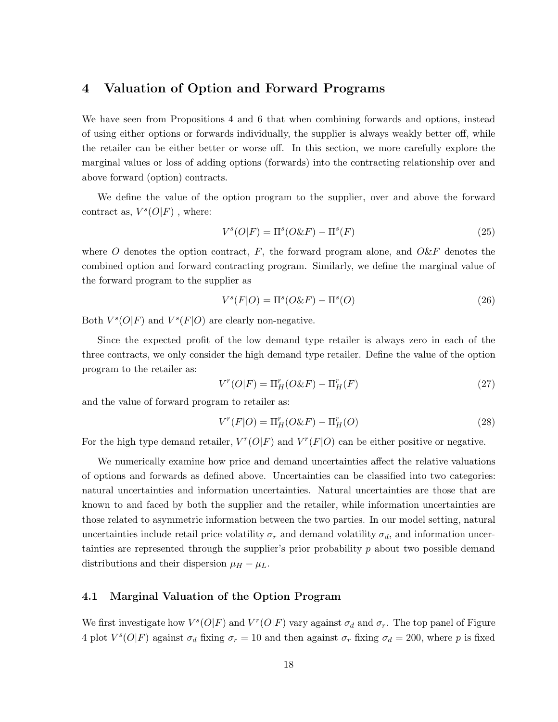# **4 Valuation of Option and Forward Programs**

We have seen from Propositions 4 and 6 that when combining forwards and options, instead of using either options or forwards individually, the supplier is always weakly better off, while the retailer can be either better or worse off. In this section, we more carefully explore the marginal values or loss of adding options (forwards) into the contracting relationship over and above forward (option) contracts.

We define the value of the option program to the supplier, over and above the forward contract as,  $V^s(O|F)$ , where:

$$
V^s(O|F) = \Pi^s(O \& F) - \Pi^s(F) \tag{25}
$$

where *O* denotes the option contract, *F*, the forward program alone, and *O*&*F* denotes the combined option and forward contracting program. Similarly, we define the marginal value of the forward program to the supplier as

$$
V^s(F|O) = \Pi^s(O \& F) - \Pi^s(O) \tag{26}
$$

Both  $V^s(O|F)$  and  $V^s(F|O)$  are clearly non-negative.

Since the expected profit of the low demand type retailer is always zero in each of the three contracts, we only consider the high demand type retailer. Define the value of the option program to the retailer as:

$$
V^r(O|F) = \Pi_H^r(O \& F) - \Pi_H^r(F)
$$
\n<sup>(27)</sup>

and the value of forward program to retailer as:

$$
V^r(F|O) = \Pi_H^r(O \& F) - \Pi_H^r(O) \tag{28}
$$

For the high type demand retailer,  $V^r(O|F)$  and  $V^r(F|O)$  can be either positive or negative.

We numerically examine how price and demand uncertainties affect the relative valuations of options and forwards as defined above. Uncertainties can be classified into two categories: natural uncertainties and information uncertainties. Natural uncertainties are those that are known to and faced by both the supplier and the retailer, while information uncertainties are those related to asymmetric information between the two parties. In our model setting, natural uncertainties include retail price volatility  $\sigma_r$  and demand volatility  $\sigma_d$ , and information uncertainties are represented through the supplier's prior probability *p* about two possible demand distributions and their dispersion  $\mu_H - \mu_L$ .

### **4.1 Marginal Valuation of the Option Program**

We first investigate how  $V^s(O|F)$  and  $V^r(O|F)$  vary against  $\sigma_d$  and  $\sigma_r$ . The top panel of Figure 4 plot  $V^s(O|F)$  against  $\sigma_d$  fixing  $\sigma_r = 10$  and then against  $\sigma_r$  fixing  $\sigma_d = 200$ , where p is fixed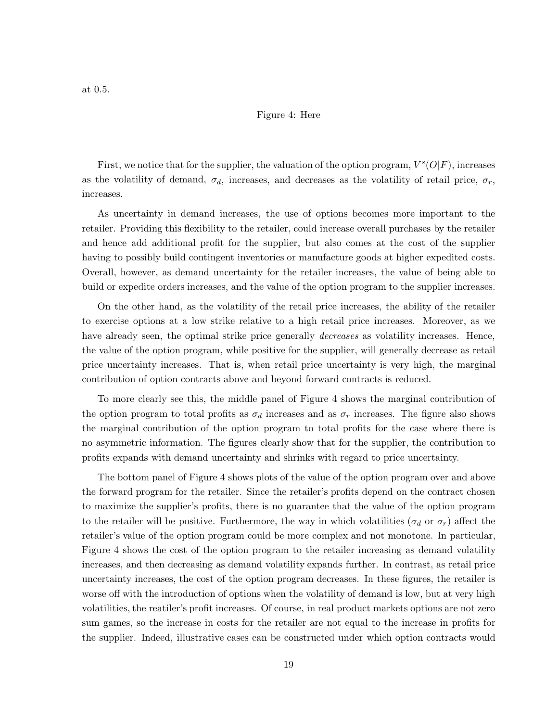Figure 4: Here

First, we notice that for the supplier, the valuation of the option program,  $V^s(O|F)$ , increases as the volatility of demand,  $\sigma_d$ , increases, and decreases as the volatility of retail price,  $\sigma_r$ , increases.

As uncertainty in demand increases, the use of options becomes more important to the retailer. Providing this flexibility to the retailer, could increase overall purchases by the retailer and hence add additional profit for the supplier, but also comes at the cost of the supplier having to possibly build contingent inventories or manufacture goods at higher expedited costs. Overall, however, as demand uncertainty for the retailer increases, the value of being able to build or expedite orders increases, and the value of the option program to the supplier increases.

On the other hand, as the volatility of the retail price increases, the ability of the retailer to exercise options at a low strike relative to a high retail price increases. Moreover, as we have already seen, the optimal strike price generally *decreases* as volatility increases. Hence, the value of the option program, while positive for the supplier, will generally decrease as retail price uncertainty increases. That is, when retail price uncertainty is very high, the marginal contribution of option contracts above and beyond forward contracts is reduced.

To more clearly see this, the middle panel of Figure 4 shows the marginal contribution of the option program to total profits as  $\sigma_d$  increases and as  $\sigma_r$  increases. The figure also shows the marginal contribution of the option program to total profits for the case where there is no asymmetric information. The figures clearly show that for the supplier, the contribution to profits expands with demand uncertainty and shrinks with regard to price uncertainty.

The bottom panel of Figure 4 shows plots of the value of the option program over and above the forward program for the retailer. Since the retailer's profits depend on the contract chosen to maximize the supplier's profits, there is no guarantee that the value of the option program to the retailer will be positive. Furthermore, the way in which volatilities ( $\sigma_d$  or  $\sigma_r$ ) affect the retailer's value of the option program could be more complex and not monotone. In particular, Figure 4 shows the cost of the option program to the retailer increasing as demand volatility increases, and then decreasing as demand volatility expands further. In contrast, as retail price uncertainty increases, the cost of the option program decreases. In these figures, the retailer is worse off with the introduction of options when the volatility of demand is low, but at very high volatilities, the reatiler's profit increases. Of course, in real product markets options are not zero sum games, so the increase in costs for the retailer are not equal to the increase in profits for the supplier. Indeed, illustrative cases can be constructed under which option contracts would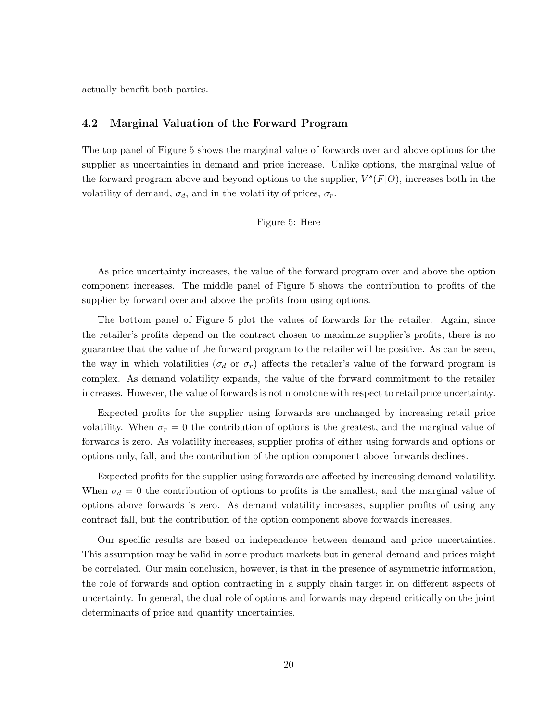actually benefit both parties.

#### **4.2 Marginal Valuation of the Forward Program**

The top panel of Figure 5 shows the marginal value of forwards over and above options for the supplier as uncertainties in demand and price increase. Unlike options, the marginal value of the forward program above and beyond options to the supplier,  $V^s(F|O)$ , increases both in the volatility of demand,  $\sigma_d$ , and in the volatility of prices,  $\sigma_r$ .

#### Figure 5: Here

As price uncertainty increases, the value of the forward program over and above the option component increases. The middle panel of Figure 5 shows the contribution to profits of the supplier by forward over and above the profits from using options.

The bottom panel of Figure 5 plot the values of forwards for the retailer. Again, since the retailer's profits depend on the contract chosen to maximize supplier's profits, there is no guarantee that the value of the forward program to the retailer will be positive. As can be seen, the way in which volatilities ( $\sigma_d$  or  $\sigma_r$ ) affects the retailer's value of the forward program is complex. As demand volatility expands, the value of the forward commitment to the retailer increases. However, the value of forwards is not monotone with respect to retail price uncertainty.

Expected profits for the supplier using forwards are unchanged by increasing retail price volatility. When  $\sigma_r = 0$  the contribution of options is the greatest, and the marginal value of forwards is zero. As volatility increases, supplier profits of either using forwards and options or options only, fall, and the contribution of the option component above forwards declines.

Expected profits for the supplier using forwards are affected by increasing demand volatility. When  $\sigma_d = 0$  the contribution of options to profits is the smallest, and the marginal value of options above forwards is zero. As demand volatility increases, supplier profits of using any contract fall, but the contribution of the option component above forwards increases.

Our specific results are based on independence between demand and price uncertainties. This assumption may be valid in some product markets but in general demand and prices might be correlated. Our main conclusion, however, is that in the presence of asymmetric information, the role of forwards and option contracting in a supply chain target in on different aspects of uncertainty. In general, the dual role of options and forwards may depend critically on the joint determinants of price and quantity uncertainties.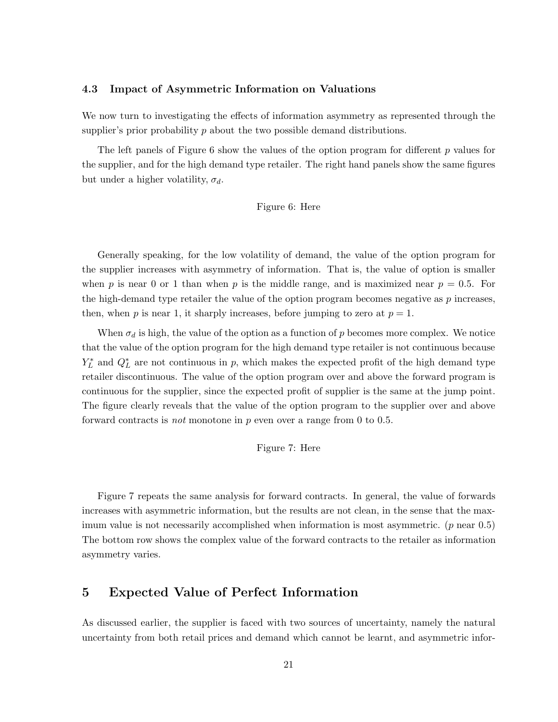### **4.3 Impact of Asymmetric Information on Valuations**

We now turn to investigating the effects of information asymmetry as represented through the supplier's prior probability *p* about the two possible demand distributions.

The left panels of Figure 6 show the values of the option program for different *p* values for the supplier, and for the high demand type retailer. The right hand panels show the same figures but under a higher volatility,  $\sigma_d$ .

#### Figure 6: Here

Generally speaking, for the low volatility of demand, the value of the option program for the supplier increases with asymmetry of information. That is, the value of option is smaller when p is near 0 or 1 than when p is the middle range, and is maximized near  $p = 0.5$ . For the high-demand type retailer the value of the option program becomes negative as *p* increases, then, when  $p$  is near 1, it sharply increases, before jumping to zero at  $p = 1$ .

When  $\sigma_d$  is high, the value of the option as a function of p becomes more complex. We notice that the value of the option program for the high demand type retailer is not continuous because  $Y_L^*$  and  $Q_L^*$  are not continuous in *p*, which makes the expected profit of the high demand type retailer discontinuous. The value of the option program over and above the forward program is continuous for the supplier, since the expected profit of supplier is the same at the jump point. The figure clearly reveals that the value of the option program to the supplier over and above forward contracts is not monotone in *p* even over a range from 0 to 0*.*5.

#### Figure 7: Here

Figure 7 repeats the same analysis for forward contracts. In general, the value of forwards increases with asymmetric information, but the results are not clean, in the sense that the maximum value is not necessarily accomplished when information is most asymmetric. (*p* near 0.5) The bottom row shows the complex value of the forward contracts to the retailer as information asymmetry varies.

# **5 Expected Value of Perfect Information**

As discussed earlier, the supplier is faced with two sources of uncertainty, namely the natural uncertainty from both retail prices and demand which cannot be learnt, and asymmetric infor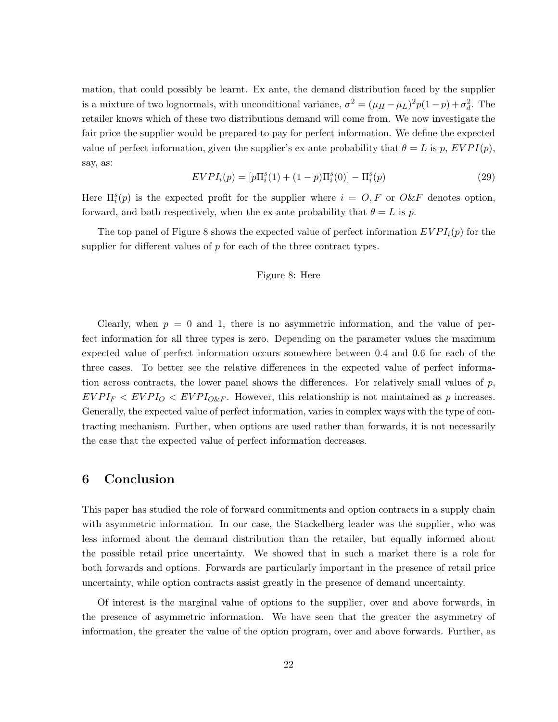mation, that could possibly be learnt. Ex ante, the demand distribution faced by the supplier is a mixture of two lognormals, with unconditional variance,  $\sigma^2 = (\mu_H - \mu_L)^2 p (1 - p) + \sigma_d^2$ . The retailer knows which of these two distributions demand will come from. We now investigate the fair price the supplier would be prepared to pay for perfect information. We define the expected value of perfect information, given the supplier's ex-ante probability that  $\theta = L$  is  $p$ ,  $EVPI(p)$ , say, as:

$$
EVPI_i(p) = [p\Pi_i^s(1) + (1-p)\Pi_i^s(0)] - \Pi_i^s(p)
$$
\n(29)

Here  $\Pi_i^s(p)$  is the expected profit for the supplier where  $i = O, F$  or  $O \& F$  denotes option, forward, and both respectively, when the ex-ante probability that  $\theta = L$  is p.

The top panel of Figure 8 shows the expected value of perfect information  $EVPI_i(p)$  for the supplier for different values of  $p$  for each of the three contract types.

#### Figure 8: Here

Clearly, when  $p = 0$  and 1, there is no asymmetric information, and the value of perfect information for all three types is zero. Depending on the parameter values the maximum expected value of perfect information occurs somewhere between 0*.*4 and 0*.*6 for each of the three cases. To better see the relative differences in the expected value of perfect information across contracts, the lower panel shows the differences. For relatively small values of *p*,  $EVPI_F < EVPI_O < EVPI_{O\&F}$ . However, this relationship is not maintained as *p* increases. Generally, the expected value of perfect information, varies in complex ways with the type of contracting mechanism. Further, when options are used rather than forwards, it is not necessarily the case that the expected value of perfect information decreases.

# **6 Conclusion**

This paper has studied the role of forward commitments and option contracts in a supply chain with asymmetric information. In our case, the Stackelberg leader was the supplier, who was less informed about the demand distribution than the retailer, but equally informed about the possible retail price uncertainty. We showed that in such a market there is a role for both forwards and options. Forwards are particularly important in the presence of retail price uncertainty, while option contracts assist greatly in the presence of demand uncertainty.

Of interest is the marginal value of options to the supplier, over and above forwards, in the presence of asymmetric information. We have seen that the greater the asymmetry of information, the greater the value of the option program, over and above forwards. Further, as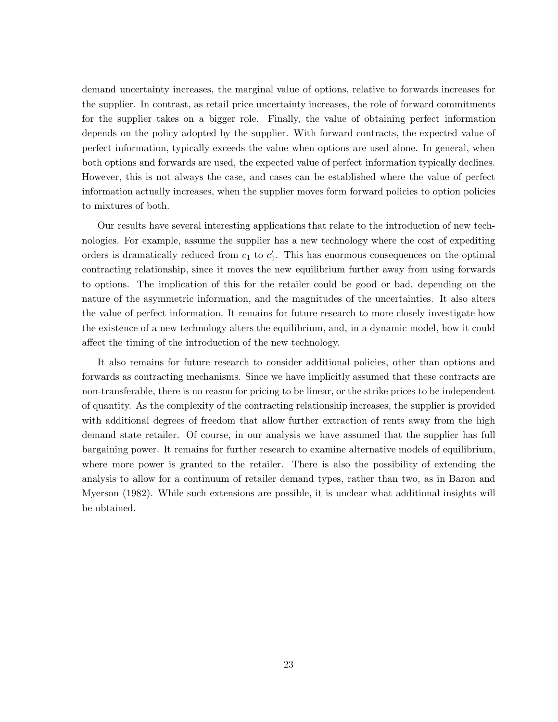demand uncertainty increases, the marginal value of options, relative to forwards increases for the supplier. In contrast, as retail price uncertainty increases, the role of forward commitments for the supplier takes on a bigger role. Finally, the value of obtaining perfect information depends on the policy adopted by the supplier. With forward contracts, the expected value of perfect information, typically exceeds the value when options are used alone. In general, when both options and forwards are used, the expected value of perfect information typically declines. However, this is not always the case, and cases can be established where the value of perfect information actually increases, when the supplier moves form forward policies to option policies to mixtures of both.

Our results have several interesting applications that relate to the introduction of new technologies. For example, assume the supplier has a new technology where the cost of expediting orders is dramatically reduced from  $c_1$  to  $c'_1$ . This has enormous consequences on the optimal contracting relationship, since it moves the new equilibrium further away from using forwards to options. The implication of this for the retailer could be good or bad, depending on the nature of the asymmetric information, and the magnitudes of the uncertainties. It also alters the value of perfect information. It remains for future research to more closely investigate how the existence of a new technology alters the equilibrium, and, in a dynamic model, how it could affect the timing of the introduction of the new technology.

It also remains for future research to consider additional policies, other than options and forwards as contracting mechanisms. Since we have implicitly assumed that these contracts are non-transferable, there is no reason for pricing to be linear, or the strike prices to be independent of quantity. As the complexity of the contracting relationship increases, the supplier is provided with additional degrees of freedom that allow further extraction of rents away from the high demand state retailer. Of course, in our analysis we have assumed that the supplier has full bargaining power. It remains for further research to examine alternative models of equilibrium, where more power is granted to the retailer. There is also the possibility of extending the analysis to allow for a continuum of retailer demand types, rather than two, as in Baron and Myerson (1982). While such extensions are possible, it is unclear what additional insights will be obtained.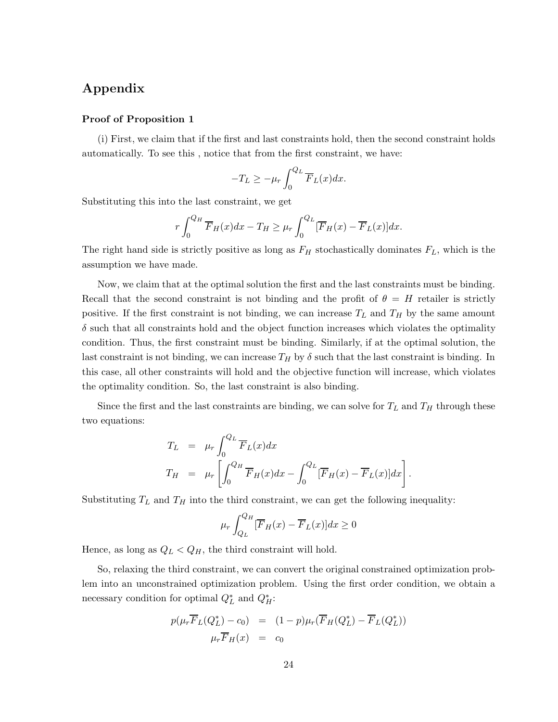# **Appendix**

#### **Proof of Proposition 1**

(i) First, we claim that if the first and last constraints hold, then the second constraint holds automatically. To see this , notice that from the first constraint, we have:

$$
-T_L\geq -\mu_r\int_0^{Q_L}\overline F_L(x)dx.
$$

Substituting this into the last constraint, we get

$$
r \int_0^{Q_H} \overline{F}_H(x) dx - T_H \ge \mu_r \int_0^{Q_L} [\overline{F}_H(x) - \overline{F}_L(x)] dx.
$$

The right hand side is strictly positive as long as  $F_H$  stochastically dominates  $F_L$ , which is the assumption we have made.

Now, we claim that at the optimal solution the first and the last constraints must be binding. Recall that the second constraint is not binding and the profit of  $\theta = H$  retailer is strictly positive. If the first constraint is not binding, we can increase  $T<sub>L</sub>$  and  $T<sub>H</sub>$  by the same amount  $\delta$  such that all constraints hold and the object function increases which violates the optimality condition. Thus, the first constraint must be binding. Similarly, if at the optimal solution, the last constraint is not binding, we can increase  $T_H$  by  $\delta$  such that the last constraint is binding. In this case, all other constraints will hold and the objective function will increase, which violates the optimality condition. So, the last constraint is also binding.

Since the first and the last constraints are binding, we can solve for  $T_L$  and  $T_H$  through these two equations:

$$
T_L = \mu_r \int_0^{Q_L} \overline{F}_L(x) dx
$$
  
\n
$$
T_H = \mu_r \left[ \int_0^{Q_H} \overline{F}_H(x) dx - \int_0^{Q_L} [\overline{F}_H(x) - \overline{F}_L(x)] dx \right].
$$

Substituting  $T_L$  and  $T_H$  into the third constraint, we can get the following inequality:

$$
\mu_r \int_{Q_L}^{Q_H} [\overline{F}_H(x) - \overline{F}_L(x)] dx \ge 0
$$

Hence, as long as  $Q_L < Q_H$ , the third constraint will hold.

So, relaxing the third constraint, we can convert the original constrained optimization problem into an unconstrained optimization problem. Using the first order condition, we obtain a necessary condition for optimal  $Q_L^*$  and  $Q_H^*$ :

$$
p(\mu_r \overline{F}_L(Q_L^*) - c_0) = (1 - p)\mu_r (\overline{F}_H(Q_L^*) - \overline{F}_L(Q_L^*))
$$
  

$$
\mu_r \overline{F}_H(x) = c_0
$$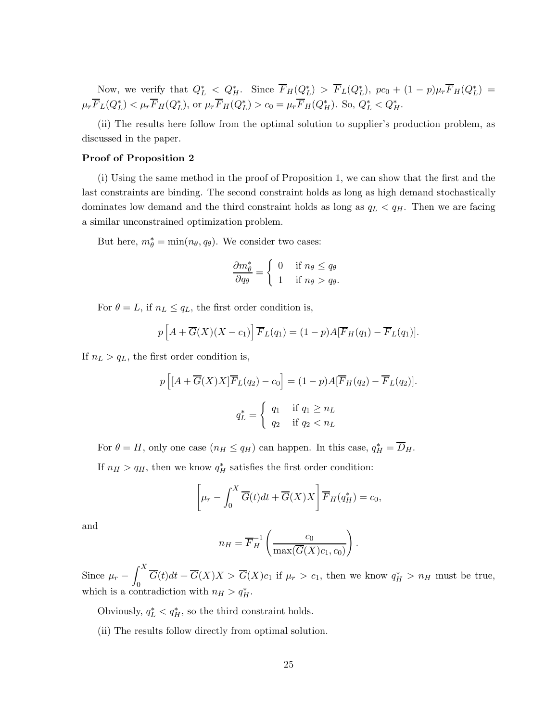Now, we verify that  $Q_L^* < Q_H^*$ . Since  $\overline{F}_H(Q_L^*) > \overline{F}_L(Q_L^*)$ ,  $pc_0 + (1-p)\mu_r \overline{F}_H(Q_L^*) =$  $\mu_r \overline{F}_L(Q_L^*) < \mu_r \overline{F}_H(Q_L^*)$ , or  $\mu_r \overline{F}_H(Q_L^*) > c_0 = \mu_r \overline{F}_H(Q_H^*)$ . So,  $Q_L^* < Q_H^*$ .

(ii) The results here follow from the optimal solution to supplier's production problem, as discussed in the paper.

#### **Proof of Proposition 2**

(i) Using the same method in the proof of Proposition 1, we can show that the first and the last constraints are binding. The second constraint holds as long as high demand stochastically dominates low demand and the third constraint holds as long as  $q_L < q_H$ . Then we are facing a similar unconstrained optimization problem.

But here,  $m_{\theta}^* = \min(n_{\theta}, q_{\theta})$ . We consider two cases:

$$
\frac{\partial m_{\theta}^*}{\partial q_{\theta}} = \begin{cases} 0 & \text{if } n_{\theta} \leq q_{\theta} \\ 1 & \text{if } n_{\theta} > q_{\theta}. \end{cases}
$$

For  $\theta = L$ , if  $n_L \leq q_L$ , the first order condition is,

$$
p\left[A+\overline{G}(X)(X-c_1)\right]\overline{F}_L(q_1)=(1-p)A[\overline{F}_H(q_1)-\overline{F}_L(q_1)].
$$

If  $n_L > q_L$ , the first order condition is,

$$
p\left[ [A + \overline{G}(X)X]\overline{F}_L(q_2) - c_0 \right] = (1 - p)A[\overline{F}_H(q_2) - \overline{F}_L(q_2)].
$$

$$
q_L^* = \begin{cases} q_1 & \text{if } q_1 \ge n_L \\ q_2 & \text{if } q_2 < n_L \end{cases}
$$

For  $\theta = H$ , only one case  $(n_H \le q_H)$  can happen. In this case,  $q_H^* = \overline{D}_H$ . If  $n_H > q_H$ , then we know  $q_H^*$  satisfies the first order condition:

$$
\left[\mu_r - \int_0^X \overline{G}(t)dt + \overline{G}(X)X\right]\overline{F}_H(q_H^*) = c_0,
$$

and

$$
n_H = \overline{F}_H^{-1}\left(\frac{c_0}{\max(\overline{G}(X)c_1, c_0)}\right).
$$

Since  $\mu_r$  –  $\int X$  $\int_0^{\infty} \overline{G}(t)dt + \overline{G}(X)X > \overline{G}(X)c_1$  if  $\mu_r > c_1$ , then we know  $q_H^* > n_H$  must be true, which is a contradiction with  $n_H > q_H^*$ .

Obviously,  $q_L^* < q_H^*$ , so the third constraint holds.

(ii) The results follow directly from optimal solution.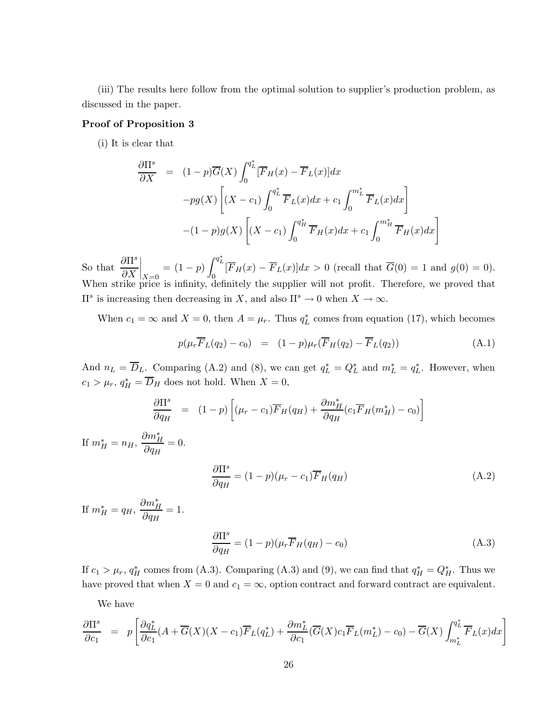(iii) The results here follow from the optimal solution to supplier's production problem, as discussed in the paper.

#### **Proof of Proposition 3**

(i) It is clear that

$$
\frac{\partial \Pi^s}{\partial X} = (1-p)\overline{G}(X)\int_0^{q_L^*} [\overline{F}_H(x) - \overline{F}_L(x)]dx
$$

$$
-pg(X)\left[ (X-c_1) \int_0^{q_L^*} \overline{F}_L(x)dx + c_1 \int_0^{m_L^*} \overline{F}_L(x)dx \right]
$$

$$
-(1-p)g(X)\left[ (X-c_1) \int_0^{q_H^*} \overline{F}_H(x)dx + c_1 \int_0^{m_H^*} \overline{F}_H(x)dx \right]
$$

So that  $\frac{\partial \Pi^s}{\partial X}$  $\Big|_{X=0}$  $= (1 - p)$  $\int q_L^*$  $\int_{0}^{12} [\overline{F}_{H}(x) - \overline{F}_{L}(x)]dx > 0$  (recall that  $\overline{G}(0) = 1$  and  $g(0) = 0$ ). When strike price is infinity, definitely the supplier will not profit. Therefore, we proved that  $\Pi$ <sup>s</sup> is increasing then decreasing in *X*, and also  $\Pi$ <sup>s</sup> → 0 when *X* → ∞.

When  $c_1 = \infty$  and  $X = 0$ , then  $A = \mu_r$ . Thus  $q_L^*$  comes from equation (17), which becomes

$$
p(\mu_r \overline{F}_L(q_2) - c_0) = (1 - p)\mu_r (\overline{F}_H(q_2) - \overline{F}_L(q_2))
$$
 (A.1)

And  $n_L = \overline{D}_L$ . Comparing (A.2) and (8), we can get  $q_L^* = Q_L^*$  and  $m_L^* = q_L^*$ . However, when  $c_1 > \mu_r$ ,  $q_H^* = \overline{D}_H$  does not hold. When  $X = 0$ ,

$$
\frac{\partial \Pi^s}{\partial q_H} = (1 - p) \left[ (\mu_r - c_1) \overline{F}_H(q_H) + \frac{\partial m_H^*}{\partial q_H} (c_1 \overline{F}_H(m_H^*) - c_0) \right]
$$
\n
$$
{}_{H}^* = n_H, \frac{\partial m_H^*}{\partial q_H} = 0.
$$
\n
$$
\frac{\partial \Pi^s}{\partial q_H} = (1 - p)(\mu_r - c_1) \overline{F}_H(q_H)
$$
\n(A.2)

If  $m_H^* = q_H$ ,  $\frac{\partial m_H^*}{\partial q_H}$  $\frac{\partial m_H}{\partial q_H} = 1.$ 

$$
\frac{\partial \Pi^s}{\partial q_H} = (1 - p)(\mu_r \overline{F}_H(q_H) - c_0)
$$
\n(A.3)

If  $c_1 > \mu_r$ ,  $q_H^*$  comes from (A.3). Comparing (A.3) and (9), we can find that  $q_H^* = Q_H^*$ . Thus we have proved that when  $X = 0$  and  $c_1 = \infty$ , option contract and forward contract are equivalent.

We have

If  $m_H^*$ 

$$
\frac{\partial \Pi^s}{\partial c_1} = p \left[ \frac{\partial q_L^*}{\partial c_1} (A + \overline{G}(X)(X - c_1) \overline{F}_L(q_L^*) + \frac{\partial m_L^*}{\partial c_1} (\overline{G}(X)c_1 \overline{F}_L(m_L^*) - c_0) - \overline{G}(X) \int_{m_L^*}^{q_L^*} \overline{F}_L(x) dx \right]
$$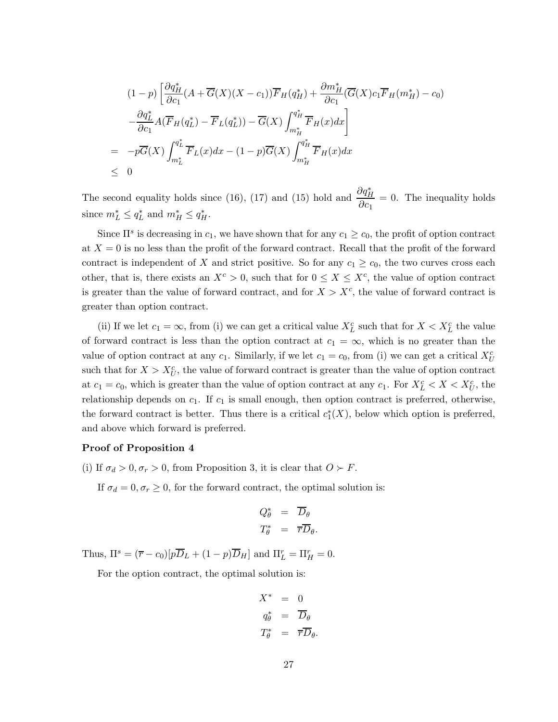$$
(1-p)\left[\frac{\partial q_H^*}{\partial c_1}(A+\overline{G}(X)(X-c_1))\overline{F}_H(q_H^*) + \frac{\partial m_H^*}{\partial c_1}(\overline{G}(X)c_1\overline{F}_H(m_H^*) - c_0)\right]
$$

$$
-\frac{\partial q_L^*}{\partial c_1}A(\overline{F}_H(q_L^*) - \overline{F}_L(q_L^*)) - \overline{G}(X)\int_{m_H^*}^{q_H^*} \overline{F}_H(x)dx\right]
$$

$$
= -p\overline{G}(X)\int_{m_L^*}^{q_L^*} \overline{F}_L(x)dx - (1-p)\overline{G}(X)\int_{m_H^*}^{q_H^*} \overline{F}_H(x)dx
$$

$$
\leq 0
$$

The second equality holds since (16), (17) and (15) hold and  $\frac{\partial q_H^*}{\partial q}$  $\frac{\partial^2 H}{\partial c_1} = 0$ . The inequality holds since  $m^*_{\mathcal{L}} \leq q^*_{\mathcal{L}}$  and  $m^*_{\mathcal{H}} \leq q^*_{\mathcal{H}}$ .

Since  $\Pi^s$  is decreasing in  $c_1$ , we have shown that for any  $c_1 \geq c_0$ , the profit of option contract at  $X = 0$  is no less than the profit of the forward contract. Recall that the profit of the forward contract is independent of *X* and strict positive. So for any  $c_1 \ge c_0$ , the two curves cross each other, that is, there exists an  $X^c > 0$ , such that for  $0 \le X \le X^c$ , the value of option contract is greater than the value of forward contract, and for  $X > X<sup>c</sup>$ , the value of forward contract is greater than option contract.

(ii) If we let  $c_1 = \infty$ , from (i) we can get a critical value  $X_L^c$  such that for  $X < X_L^c$  the value of forward contract is less than the option contract at  $c_1 = \infty$ , which is no greater than the value of option contract at any  $c_1$ . Similarly, if we let  $c_1 = c_0$ , from (i) we can get a critical  $X_U^c$ such that for  $X > X_U^c$ , the value of forward contract is greater than the value of option contract at  $c_1 = c_0$ , which is greater than the value of option contract at any  $c_1$ . For  $X_L^c < X < X_U^c$ , the relationship depends on *c*1. If *c*<sup>1</sup> is small enough, then option contract is preferred, otherwise, the forward contract is better. Thus there is a critical  $c_1^*(X)$ , below which option is preferred, and above which forward is preferred.

#### **Proof of Proposition 4**

(i) If  $\sigma_d > 0$ ,  $\sigma_r > 0$ , from Proposition 3, it is clear that  $O \succ F$ .

If  $\sigma_d = 0, \sigma_r \geq 0$ , for the forward contract, the optimal solution is:

$$
Q_{\theta}^* = \overline{D}_{\theta}
$$
  

$$
T_{\theta}^* = \overline{r} \overline{D}_{\theta}.
$$

Thus,  $\Pi^s = (\overline{r} - c_0)[p\overline{D}_L + (1-p)\overline{D}_H]$  and  $\Pi^r_L = \Pi^r_H = 0$ .

For the option contract, the optimal solution is:

$$
X^* = 0
$$
  
\n
$$
q_\theta^* = \overline{D}_\theta
$$
  
\n
$$
T_\theta^* = \overline{r} \overline{D}_\theta.
$$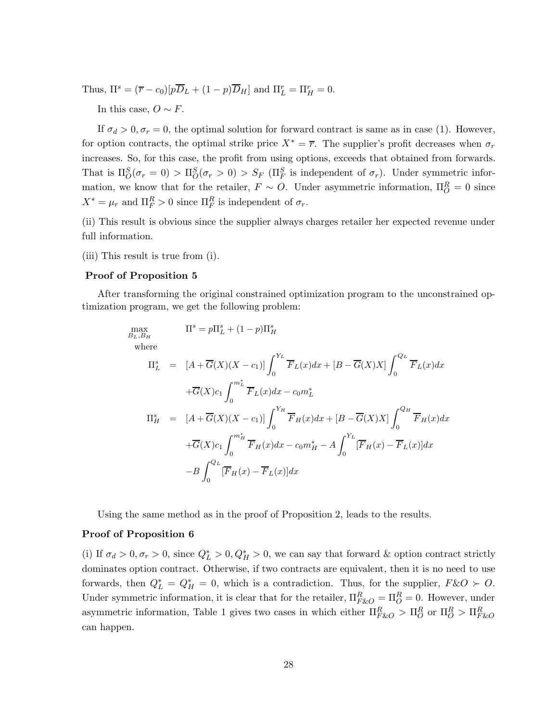Thus,  $\Pi^s = (\overline{r} - c_0)[p\overline{D}_L + (1-p)\overline{D}_H]$  and  $\Pi^r_L = \Pi^r_H = 0$ .

In this case,  $O \sim F$ .

If  $\sigma_d > 0$ ,  $\sigma_r = 0$ , the optimal solution for forward contract is same as in case (1). However, for option contracts, the optimal strike price  $X^* = \overline{r}$ . The supplier's profit decreases when  $\sigma_r$ increases. So, for this case, the profit from using options, exceeds that obtained from forwards. That is  $\Pi_{\mathcal{O}}^S(\sigma_r = 0) > \Pi_{\mathcal{O}}^S(\sigma_r > 0) > S_F$  ( $\Pi_F^S$  is independent of  $\sigma_r$ ). Under symmetric information, we know that for the retailer,  $F \sim O$ . Under asymmetric information,  $\Pi_O^R = 0$  since  $X^* = \mu_r$  and  $\Pi_F^R > 0$  since  $\Pi_F^R$  is independent of  $\sigma_r$ .

(ii) This result is obvious since the supplier always charges retailer her expected revenue under full information.

(iii) This result is true from (i).

### **Proof of Proposition 5**

After transforming the original constrained optimization program to the unconstrained optimization program, we get the following problem:

$$
\begin{aligned}\n\max_{B_L, B_H} & \Pi^s = p \Pi_L^s + (1 - p) \Pi_H^s \\
\text{where} \\
\Pi_L^s &= \left[ A + \overline{G}(X)(X - c_1) \right] \int_0^{Y_L} \overline{F}_L(x) dx + \left[ B - \overline{G}(X)X \right] \int_0^{Q_L} \overline{F}_L(x) dx \\
&+ \overline{G}(X)c_1 \int_0^{m_L^*} \overline{F}_L(x) dx - c_0 m_L^* \\
\Pi_H^s &= \left[ A + \overline{G}(X)(X - c_1) \right] \int_0^{Y_H} \overline{F}_H(x) dx + \left[ B - \overline{G}(X)X \right] \int_0^{Q_H} \overline{F}_H(x) dx \\
&+ \overline{G}(X)c_1 \int_0^{m_H^*} \overline{F}_H(x) dx - c_0 m_H^* - A \int_0^{Y_L} [\overline{F}_H(x) - \overline{F}_L(x)] dx \\
&- B \int_0^{Q_L} [\overline{F}_H(x) - \overline{F}_L(x)] dx\n\end{aligned}
$$

Using the same method as in the proof of Proposition 2, leads to the results.

#### **Proof of Proposition 6**

(i) If  $\sigma_d > 0, \sigma_r > 0$ , since  $Q_L^* > 0, Q_H^* > 0$ , we can say that forward & option contract strictly dominates option contract. Otherwise, if two contracts are equivalent, then it is no need to use forwards, then  $Q_L^* = Q_H^* = 0$ , which is a contradiction. Thus, for the supplier,  $F \& O \succ O$ . Under symmetric information, it is clear that for the retailer,  $\Pi_{F\&O}^R = \Pi_O^R = 0$ . However, under asymmetric information, Table 1 gives two cases in which either  $\Pi_{F\&O}^R > \Pi_O^R$  or  $\Pi_O^R > \Pi_{F\&O}^R$ can happen.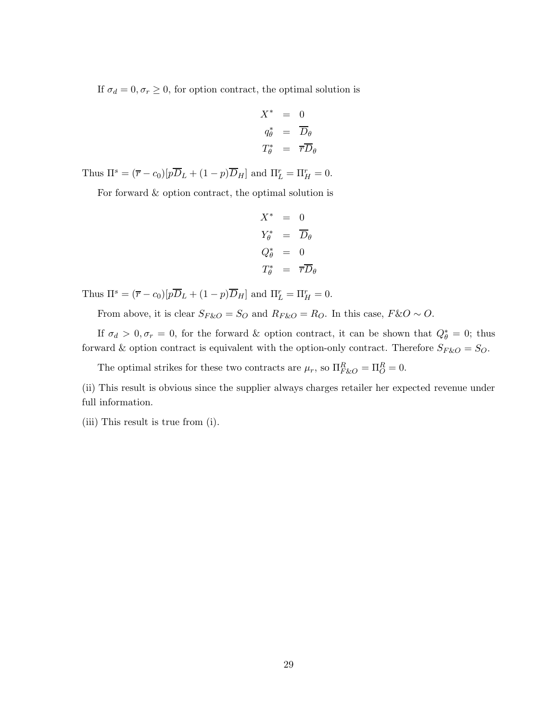If  $\sigma_d = 0, \sigma_r \geq 0$ , for option contract, the optimal solution is

$$
X^* = 0
$$
  
\n
$$
q_{\theta}^* = \overline{D}_{\theta}
$$
  
\n
$$
T_{\theta}^* = \overline{r} \overline{D}_{\theta}
$$

Thus  $\Pi^s = (\overline{r} - c_0)[p\overline{D}_L + (1 - p)\overline{D}_H]$  and  $\Pi^r_L = \Pi^r_H = 0$ .

For forward & option contract, the optimal solution is

$$
X^* = 0
$$
  
\n
$$
Y^*_{\theta} = \overline{D}_{\theta}
$$
  
\n
$$
Q^*_{\theta} = 0
$$
  
\n
$$
T^*_{\theta} = \overline{r} \overline{D}_{\theta}
$$

Thus  $\Pi^s = (\overline{r} - c_0)[p\overline{D}_L + (1 - p)\overline{D}_H]$  and  $\Pi^r_L = \Pi^r_H = 0$ .

From above, it is clear  $S_{F\&O} = S_O$  and  $R_{F\&O} = R_O$ . In this case,  $F\&O \sim O$ .

If  $\sigma_d > 0, \sigma_r = 0$ , for the forward & option contract, it can be shown that  $Q_{\theta}^* = 0$ ; thus forward & option contract is equivalent with the option-only contract. Therefore  $S_{F\&O} = S_O$ .

The optimal strikes for these two contracts are  $\mu_r$ , so  $\Pi_{F\&O}^R = \Pi_O^R = 0$ .

(ii) This result is obvious since the supplier always charges retailer her expected revenue under full information.

(iii) This result is true from (i).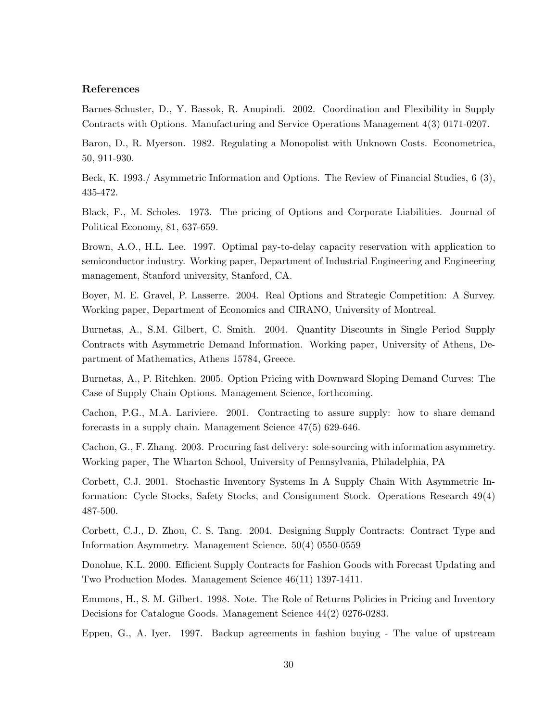# **References**

Barnes-Schuster, D., Y. Bassok, R. Anupindi. 2002. Coordination and Flexibility in Supply Contracts with Options. Manufacturing and Service Operations Management 4(3) 0171-0207.

Baron, D., R. Myerson. 1982. Regulating a Monopolist with Unknown Costs. Econometrica, 50, 911-930.

Beck, K. 1993./ Asymmetric Information and Options. The Review of Financial Studies, 6 (3), 435-472.

Black, F., M. Scholes. 1973. The pricing of Options and Corporate Liabilities. Journal of Political Economy, 81, 637-659.

Brown, A.O., H.L. Lee. 1997. Optimal pay-to-delay capacity reservation with application to semiconductor industry. Working paper, Department of Industrial Engineering and Engineering management, Stanford university, Stanford, CA.

Boyer, M. E. Gravel, P. Lasserre. 2004. Real Options and Strategic Competition: A Survey. Working paper, Department of Economics and CIRANO, University of Montreal.

Burnetas, A., S.M. Gilbert, C. Smith. 2004. Quantity Discounts in Single Period Supply Contracts with Asymmetric Demand Information. Working paper, University of Athens, Department of Mathematics, Athens 15784, Greece.

Burnetas, A., P. Ritchken. 2005. Option Pricing with Downward Sloping Demand Curves: The Case of Supply Chain Options. Management Science, forthcoming.

Cachon, P.G., M.A. Lariviere. 2001. Contracting to assure supply: how to share demand forecasts in a supply chain. Management Science 47(5) 629-646.

Cachon, G., F. Zhang. 2003. Procuring fast delivery: sole-sourcing with information asymmetry. Working paper, The Wharton School, University of Pennsylvania, Philadelphia, PA

Corbett, C.J. 2001. Stochastic Inventory Systems In A Supply Chain With Asymmetric Information: Cycle Stocks, Safety Stocks, and Consignment Stock. Operations Research 49(4) 487-500.

Corbett, C.J., D. Zhou, C. S. Tang. 2004. Designing Supply Contracts: Contract Type and Information Asymmetry. Management Science. 50(4) 0550-0559

Donohue, K.L. 2000. Efficient Supply Contracts for Fashion Goods with Forecast Updating and Two Production Modes. Management Science 46(11) 1397-1411.

Emmons, H., S. M. Gilbert. 1998. Note. The Role of Returns Policies in Pricing and Inventory Decisions for Catalogue Goods. Management Science 44(2) 0276-0283.

Eppen, G., A. Iyer. 1997. Backup agreements in fashion buying - The value of upstream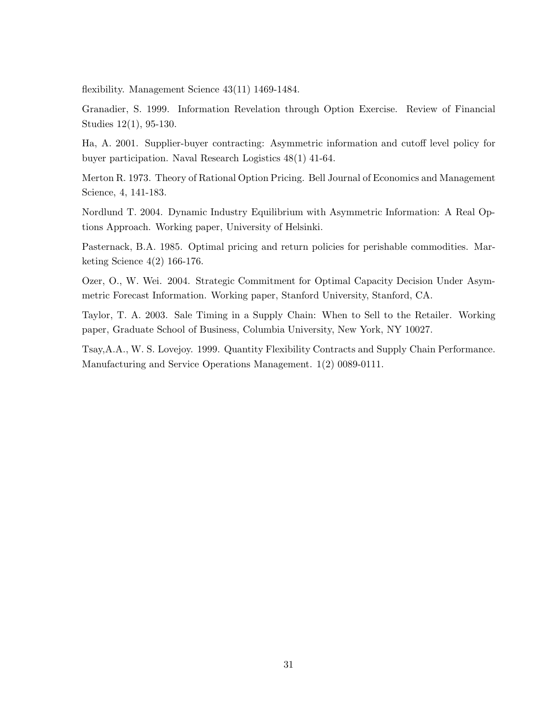flexibility. Management Science 43(11) 1469-1484.

Granadier, S. 1999. Information Revelation through Option Exercise. Review of Financial Studies 12(1), 95-130.

Ha, A. 2001. Supplier-buyer contracting: Asymmetric information and cutoff level policy for buyer participation. Naval Research Logistics 48(1) 41-64.

Merton R. 1973. Theory of Rational Option Pricing. Bell Journal of Economics and Management Science, 4, 141-183.

Nordlund T. 2004. Dynamic Industry Equilibrium with Asymmetric Information: A Real Options Approach. Working paper, University of Helsinki.

Pasternack, B.A. 1985. Optimal pricing and return policies for perishable commodities. Marketing Science 4(2) 166-176.

Ozer, O., W. Wei. 2004. Strategic Commitment for Optimal Capacity Decision Under Asymmetric Forecast Information. Working paper, Stanford University, Stanford, CA.

Taylor, T. A. 2003. Sale Timing in a Supply Chain: When to Sell to the Retailer. Working paper, Graduate School of Business, Columbia University, New York, NY 10027.

Tsay,A.A., W. S. Lovejoy. 1999. Quantity Flexibility Contracts and Supply Chain Performance. Manufacturing and Service Operations Management. 1(2) 0089-0111.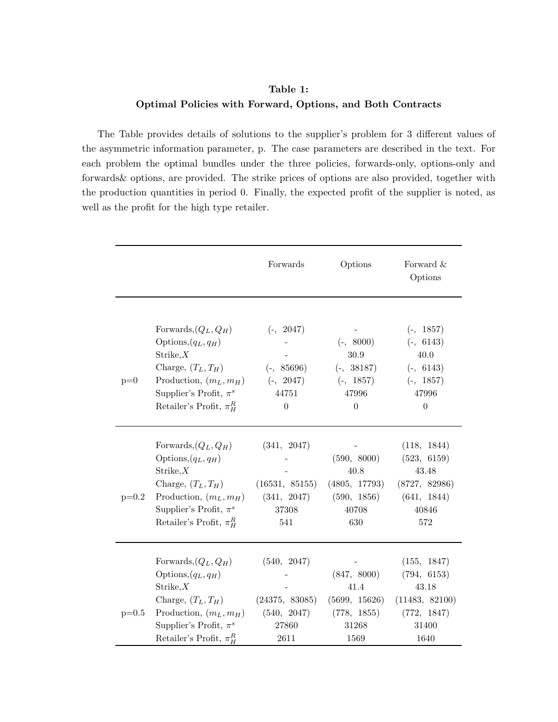# **Table 1: Optimal Policies with Forward, Options, and Both Contracts**

The Table provides details of solutions to the supplier's problem for 3 different values of the asymmetric information parameter, p. The case parameters are described in the text. For each problem the optimal bundles under the three policies, forwards-only, options-only and forwards& options, are provided. The strike prices of options are also provided, together with the production quantities in period 0. Finally, the expected profit of the supplier is noted, as well as the profit for the high type retailer.

|         |                                                                                                                                                                                  | Forwards                                                        | Options                                                                 | Forward &<br>Options                                                                        |
|---------|----------------------------------------------------------------------------------------------------------------------------------------------------------------------------------|-----------------------------------------------------------------|-------------------------------------------------------------------------|---------------------------------------------------------------------------------------------|
| $p=0$   | Forwards, $(Q_L, Q_H)$<br>Options, $(q_L, q_H)$<br>Strike, $X$<br>Charge, $(T_L, T_H)$<br>Production, $(m_L, m_H)$<br>Supplier's Profit, $\pi^s$<br>Retailer's Profit, $\pi_H^R$ | $(-, 2047)$<br>$(-, 85696)$<br>$(-, 2047)$<br>44751<br>$\theta$ | $(-, 8000)$<br>30.9<br>$(-, 38187)$<br>$(-, 1857)$<br>47996<br>$\theta$ | $(-, 1857)$<br>$(-, 6143)$<br>40.0<br>$(-, 6143)$<br>$(-, 1857)$<br>47996<br>$\overline{0}$ |
| $p=0.2$ | Forwards, $(Q_L, Q_H)$<br>Options, $(q_L, q_H)$<br>Strike, $X$<br>Charge, $(T_L, T_H)$<br>Production, $(m_L, m_H)$<br>Supplier's Profit, $\pi^s$<br>Retailer's Profit, $\pi_H^R$ | (341, 2047)<br>(16531, 85155)<br>(341, 2047)<br>37308<br>541    | (590, 8000)<br>40.8<br>(4805, 17793)<br>(590, 1856)<br>40708<br>630     | (118, 1844)<br>(523, 6159)<br>43.48<br>(8727, 82986)<br>(641, 1844)<br>40846<br>572         |
| $p=0.5$ | Forwards, $(Q_L, Q_H)$<br>Options, $(q_L, q_H)$<br>Strike, $X$<br>Charge, $(T_L, T_H)$<br>Production, $(m_L, m_H)$<br>Supplier's Profit, $\pi^s$<br>Retailer's Profit, $\pi_H^R$ | (540, 2047)<br>(24375, 83085)<br>(540, 2047)<br>27860<br>2611   | (847, 8000)<br>41.4<br>(5699, 15626)<br>(778, 1855)<br>31268<br>1569    | (155, 1847)<br>(794, 6153)<br>43.18<br>(11483, 82100)<br>(772, 1847)<br>31400<br>1640       |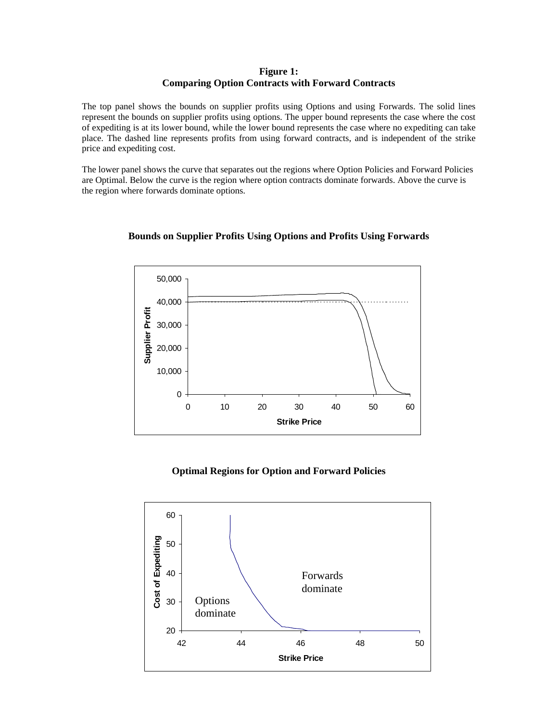### **Figure 1: Comparing Option Contracts with Forward Contracts**

The top panel shows the bounds on supplier profits using Options and using Forwards. The solid lines represent the bounds on supplier profits using options. The upper bound represents the case where the cost of expediting is at its lower bound, while the lower bound represents the case where no expediting can take place. The dashed line represents profits from using forward contracts, and is independent of the strike price and expediting cost.

The lower panel shows the curve that separates out the regions where Option Policies and Forward Policies are Optimal. Below the curve is the region where option contracts dominate forwards. Above the curve is the region where forwards dominate options.



# **Bounds on Supplier Profits Using Options and Profits Using Forwards**

### **Optimal Regions for Option and Forward Policies**

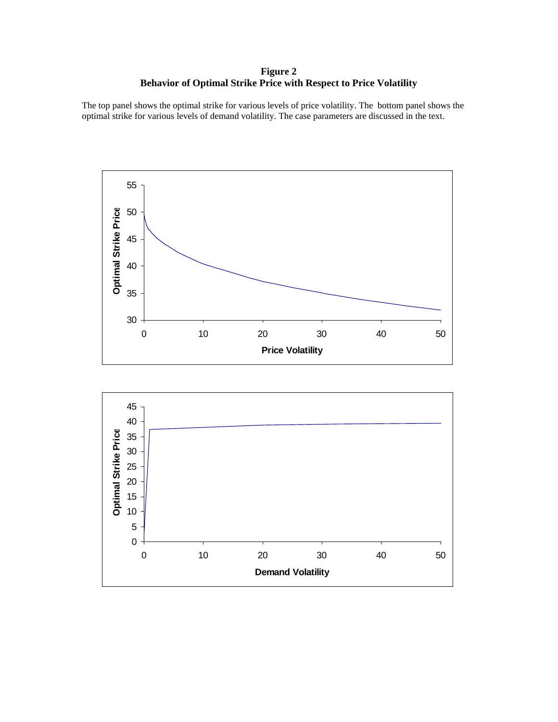# **Figure 2 Behavior of Optimal Strike Price with Respect to Price Volatility**

The top panel shows the optimal strike for various levels of price volatility. The bottom panel shows the optimal strike for various levels of demand volatility. The case parameters are discussed in the text.



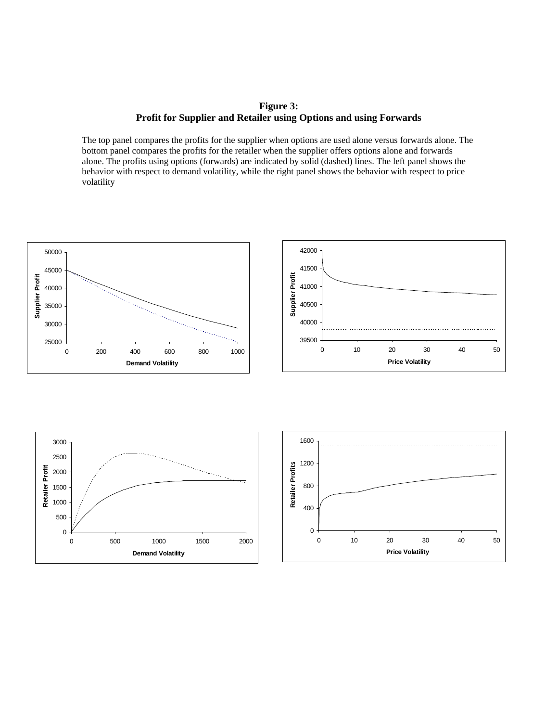# **Figure 3: Profit for Supplier and Retailer using Options and using Forwards**

The top panel compares the profits for the supplier when options are used alone versus forwards alone. The bottom panel compares the profits for the retailer when the supplier offers options alone and forwards alone. The profits using options (forwards) are indicated by solid (dashed) lines. The left panel shows the behavior with respect to demand volatility, while the right panel shows the behavior with respect to price volatility

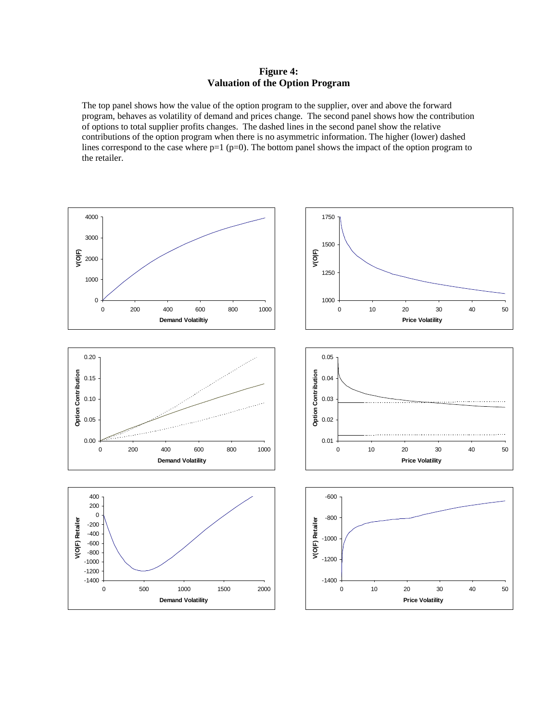### **Figure 4: Valuation of the Option Program**

The top panel shows how the value of the option program to the supplier, over and above the forward program, behaves as volatility of demand and prices change. The second panel shows how the contribution of options to total supplier profits changes. The dashed lines in the second panel show the relative contributions of the option program when there is no asymmetric information. The higher (lower) dashed lines correspond to the case where  $p=1$  ( $p=0$ ). The bottom panel shows the impact of the option program to the retailer.

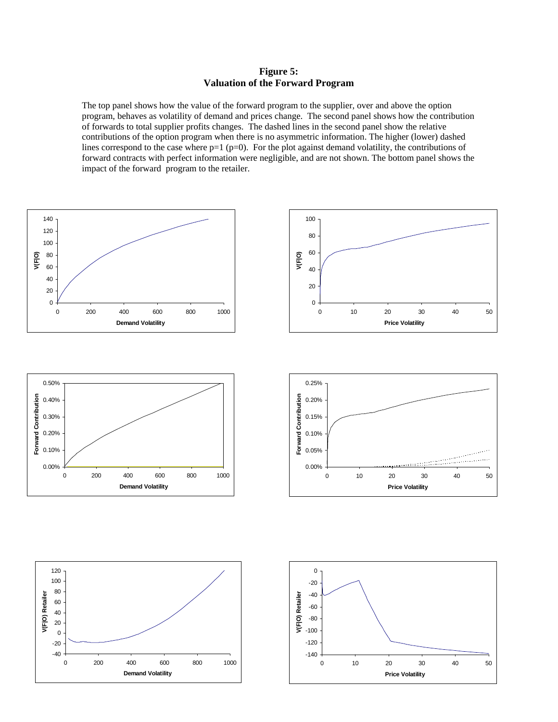**Figure 5: Valuation of the Forward Program** 

The top panel shows how the value of the forward program to the supplier, over and above the option program, behaves as volatility of demand and prices change. The second panel shows how the contribution of forwards to total supplier profits changes. The dashed lines in the second panel show the relative contributions of the option program when there is no asymmetric information. The higher (lower) dashed lines correspond to the case where  $p=1$  ( $p=0$ ). For the plot against demand volatility, the contributions of forward contracts with perfect information were negligible, and are not shown. The bottom panel shows the impact of the forward program to the retailer.

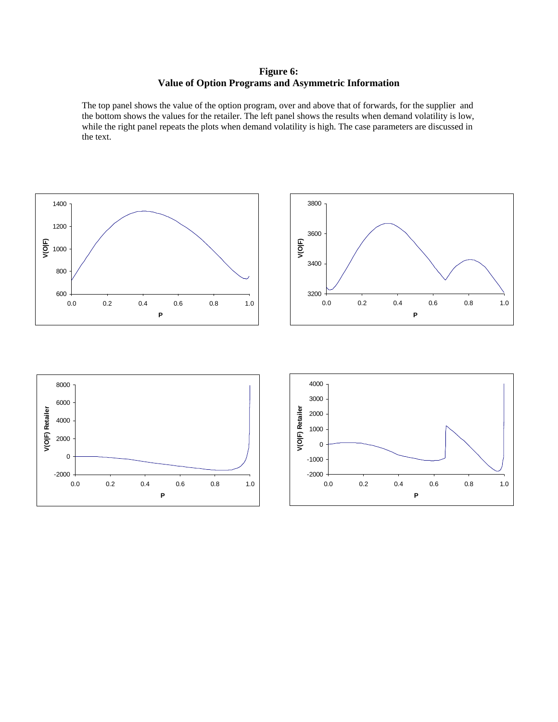**Figure 6: Value of Option Programs and Asymmetric Information** 

The top panel shows the value of the option program, over and above that of forwards, for the supplier and the bottom shows the values for the retailer. The left panel shows the results when demand volatility is low, while the right panel repeats the plots when demand volatility is high. The case parameters are discussed in the text.

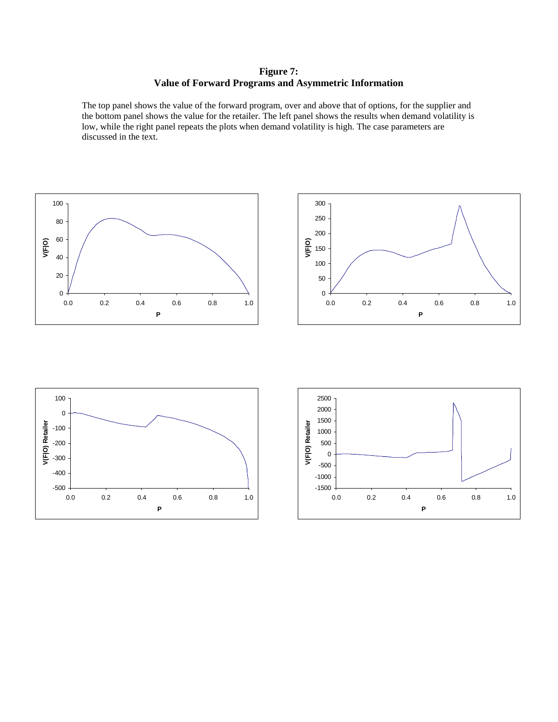**Figure 7: Value of Forward Programs and Asymmetric Information** 

The top panel shows the value of the forward program, over and above that of options, for the supplier and the bottom panel shows the value for the retailer. The left panel shows the results when demand volatility is low, while the right panel repeats the plots when demand volatility is high. The case parameters are discussed in the text.